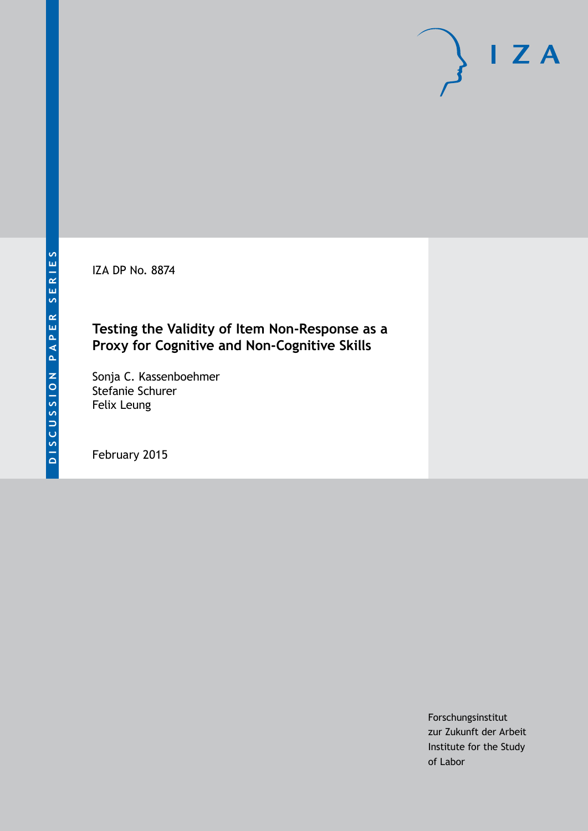IZA DP No. 8874

## **Testing the Validity of Item Non-Response as a Proxy for Cognitive and Non-Cognitive Skills**

Sonja C. Kassenboehmer Stefanie Schurer Felix Leung

February 2015

Forschungsinstitut zur Zukunft der Arbeit Institute for the Study of Labor

 $I Z A$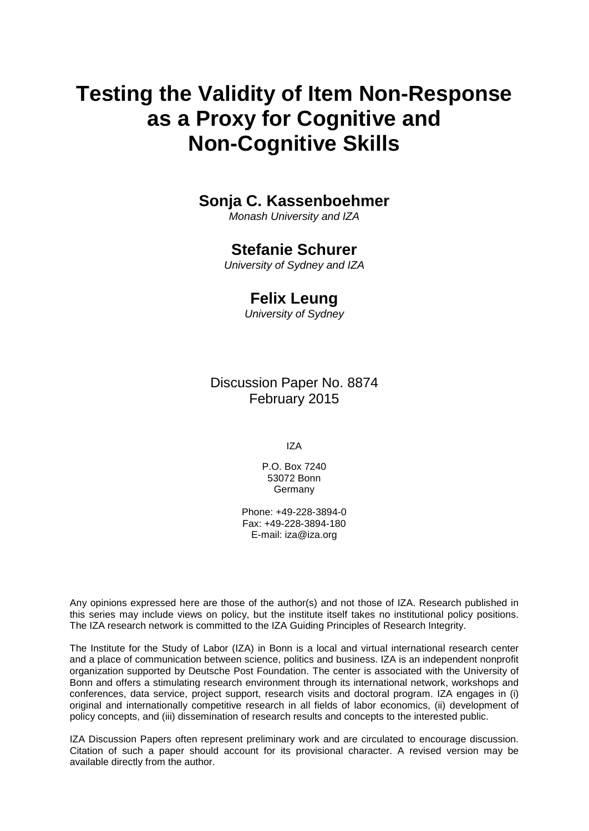# **Testing the Validity of Item Non-Response as a Proxy for Cognitive and Non-Cognitive Skills**

## **Sonja C. Kassenboehmer**

*Monash University and IZA*

## **Stefanie Schurer**

*University of Sydney and IZA*

## **Felix Leung**

*University of Sydney*

Discussion Paper No. 8874 February 2015

IZA

P.O. Box 7240 53072 Bonn Germany

Phone: +49-228-3894-0 Fax: +49-228-3894-180 E-mail: [iza@iza.org](mailto:iza@iza.org)

Any opinions expressed here are those of the author(s) and not those of IZA. Research published in this series may include views on policy, but the institute itself takes no institutional policy positions. The IZA research network is committed to the IZA Guiding Principles of Research Integrity.

<span id="page-1-0"></span>The Institute for the Study of Labor (IZA) in Bonn is a local and virtual international research center and a place of communication between science, politics and business. IZA is an independent nonprofit organization supported by Deutsche Post Foundation. The center is associated with the University of Bonn and offers a stimulating research environment through its international network, workshops and conferences, data service, project support, research visits and doctoral program. IZA engages in (i) original and internationally competitive research in all fields of labor economics, (ii) development of policy concepts, and (iii) dissemination of research results and concepts to the interested public.

IZA Discussion Papers often represent preliminary work and are circulated to encourage discussion. Citation of such a paper should account for its provisional character. A revised version may be available directly from the author.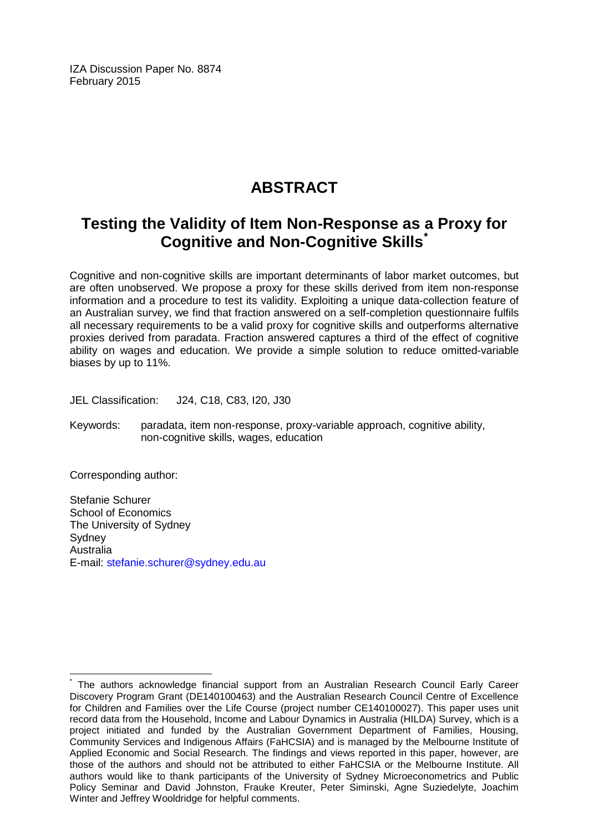IZA Discussion Paper No. 8874 February 2015

## **ABSTRACT**

## **Testing the Validity of Item Non-Response as a Proxy for Cognitive and Non-Cognitive Skills[\\*](#page-1-0)**

Cognitive and non-cognitive skills are important determinants of labor market outcomes, but are often unobserved. We propose a proxy for these skills derived from item non-response information and a procedure to test its validity. Exploiting a unique data-collection feature of an Australian survey, we find that fraction answered on a self-completion questionnaire fulfils all necessary requirements to be a valid proxy for cognitive skills and outperforms alternative proxies derived from paradata. Fraction answered captures a third of the effect of cognitive ability on wages and education. We provide a simple solution to reduce omitted-variable biases by up to 11%.

JEL Classification: J24, C18, C83, I20, J30

Keywords: paradata, item non-response, proxy-variable approach, cognitive ability, non-cognitive skills, wages, education

Corresponding author:

Stefanie Schurer School of Economics The University of Sydney **Sydney** Australia E-mail: [stefanie.schurer@sydney.edu.au](mailto:stefanie.schurer@sydney.edu.au)

The authors acknowledge financial support from an Australian Research Council Early Career Discovery Program Grant (DE140100463) and the Australian Research Council Centre of Excellence for Children and Families over the Life Course (project number CE140100027). This paper uses unit record data from the Household, Income and Labour Dynamics in Australia (HILDA) Survey, which is a project initiated and funded by the Australian Government Department of Families, Housing, Community Services and Indigenous Affairs (FaHCSIA) and is managed by the Melbourne Institute of Applied Economic and Social Research. The findings and views reported in this paper, however, are those of the authors and should not be attributed to either FaHCSIA or the Melbourne Institute. All authors would like to thank participants of the University of Sydney Microeconometrics and Public Policy Seminar and David Johnston, Frauke Kreuter, Peter Siminski, Agne Suziedelyte, Joachim Winter and Jeffrey Wooldridge for helpful comments.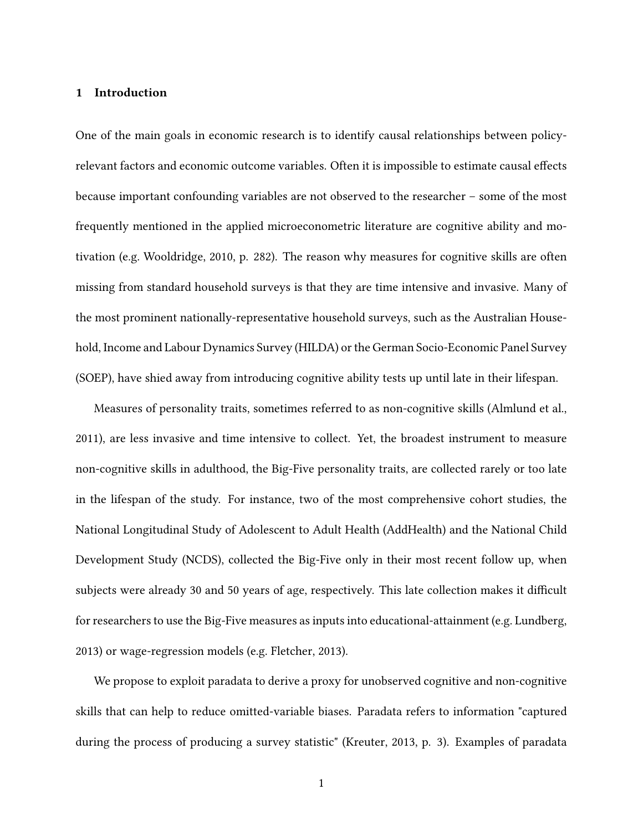#### **1 Introduction**

One of the main goals in economic research is to identify causal relationships between policyrelevant factors and economic outcome variables. Often it is impossible to estimate causal effects because important confounding variables are not observed to the researcher – some of the most frequently mentioned in the applied microeconometric literature are cognitive ability and motivation (e.g. Wooldridge, 2010, p. 282). The reason why measures for cognitive skills are often missing from standard household surveys is that they are time intensive and invasive. Many of the most prominent nationally-representative household surveys, such as the Australian Household, Income and Labour Dynamics Survey (HILDA) or the German Socio-Economic Panel Survey (SOEP), have shied away from introducing cognitive ability tests up until late in their lifespan.

Measures of personality traits, sometimes referred to as non-cognitive skills (Almlund et al., 2011), are less invasive and time intensive to collect. Yet, the broadest instrument to measure non-cognitive skills in adulthood, the Big-Five personality traits, are collected rarely or too late in the lifespan of the study. For instance, two of the most comprehensive cohort studies, the National Longitudinal Study of Adolescent to Adult Health (AddHealth) and the National Child Development Study (NCDS), collected the Big-Five only in their most recent follow up, when subjects were already 30 and 50 years of age, respectively. This late collection makes it difficult for researchers to use the Big-Five measures as inputs into educational-attainment (e.g. Lundberg, 2013) or wage-regression models (e.g. Fletcher, 2013).

We propose to exploit paradata to derive a proxy for unobserved cognitive and non-cognitive skills that can help to reduce omitted-variable biases. Paradata refers to information "captured during the process of producing a survey statistic" (Kreuter, 2013, p. 3). Examples of paradata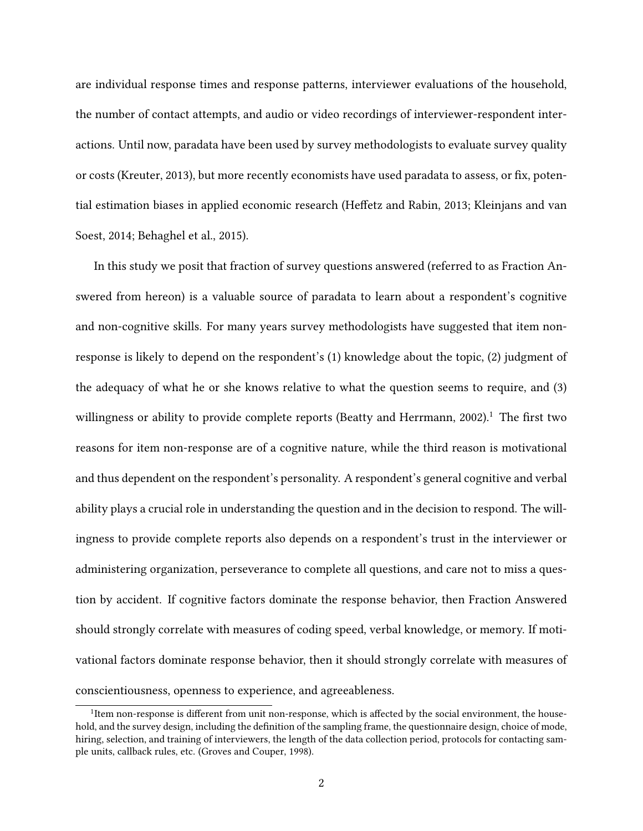are individual response times and response patterns, interviewer evaluations of the household, the number of contact attempts, and audio or video recordings of interviewer-respondent interactions. Until now, paradata have been used by survey methodologists to evaluate survey quality or costs (Kreuter, 2013), but more recently economists have used paradata to assess, or fix, potential estimation biases in applied economic research (Heffetz and Rabin, 2013; Kleinjans and van Soest, 2014; Behaghel et al., 2015).

In this study we posit that fraction of survey questions answered (referred to as Fraction Answered from hereon) is a valuable source of paradata to learn about a respondent's cognitive and non-cognitive skills. For many years survey methodologists have suggested that item nonresponse is likely to depend on the respondent's (1) knowledge about the topic, (2) judgment of the adequacy of what he or she knows relative to what the question seems to require, and (3) willingness or ability to provide complete reports (Beatty and Herrmann, 2002).<sup>1</sup> The first two reasons for item non-response are of a cognitive nature, while the third reason is motivational and thus dependent on the respondent's personality. A respondent's general cognitive and verbal ability plays a crucial role in understanding the question and in the decision to respond. The willingness to provide complete reports also depends on a respondent's trust in the interviewer or administering organization, perseverance to complete all questions, and care not to miss a question by accident. If cognitive factors dominate the response behavior, then Fraction Answered should strongly correlate with measures of coding speed, verbal knowledge, or memory. If motivational factors dominate response behavior, then it should strongly correlate with measures of conscientiousness, openness to experience, and agreeableness.

<sup>&</sup>lt;sup>1</sup>Item non-response is different from unit non-response, which is affected by the social environment, the household, and the survey design, including the definition of the sampling frame, the questionnaire design, choice of mode, hiring, selection, and training of interviewers, the length of the data collection period, protocols for contacting sample units, callback rules, etc. (Groves and Couper, 1998).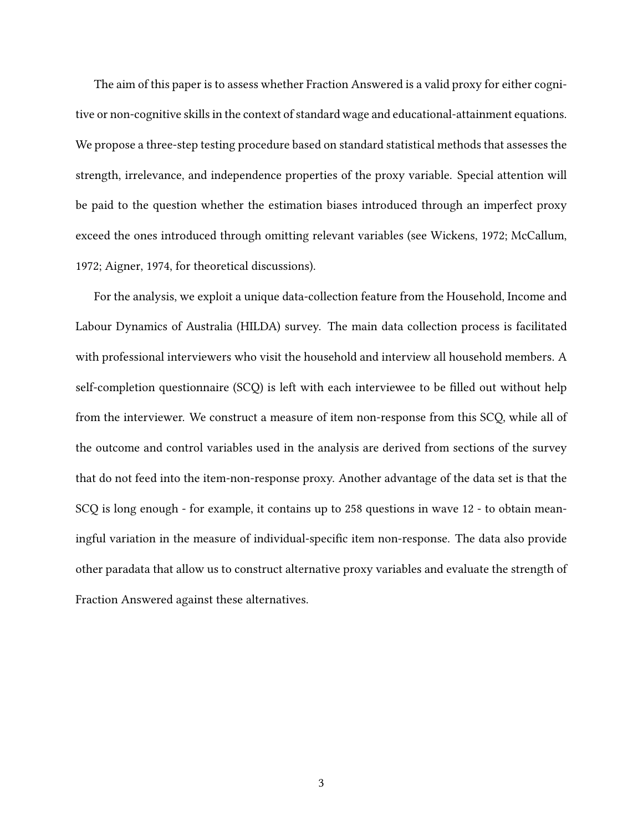The aim of this paper is to assess whether Fraction Answered is a valid proxy for either cognitive or non-cognitive skills in the context of standard wage and educational-attainment equations. We propose a three-step testing procedure based on standard statistical methods that assesses the strength, irrelevance, and independence properties of the proxy variable. Special attention will be paid to the question whether the estimation biases introduced through an imperfect proxy exceed the ones introduced through omitting relevant variables (see Wickens, 1972; McCallum, 1972; Aigner, 1974, for theoretical discussions).

For the analysis, we exploit a unique data-collection feature from the Household, Income and Labour Dynamics of Australia (HILDA) survey. The main data collection process is facilitated with professional interviewers who visit the household and interview all household members. A self-completion questionnaire (SCQ) is left with each interviewee to be filled out without help from the interviewer. We construct a measure of item non-response from this SCQ, while all of the outcome and control variables used in the analysis are derived from sections of the survey that do not feed into the item-non-response proxy. Another advantage of the data set is that the SCQ is long enough - for example, it contains up to 258 questions in wave 12 - to obtain meaningful variation in the measure of individual-specific item non-response. The data also provide other paradata that allow us to construct alternative proxy variables and evaluate the strength of Fraction Answered against these alternatives.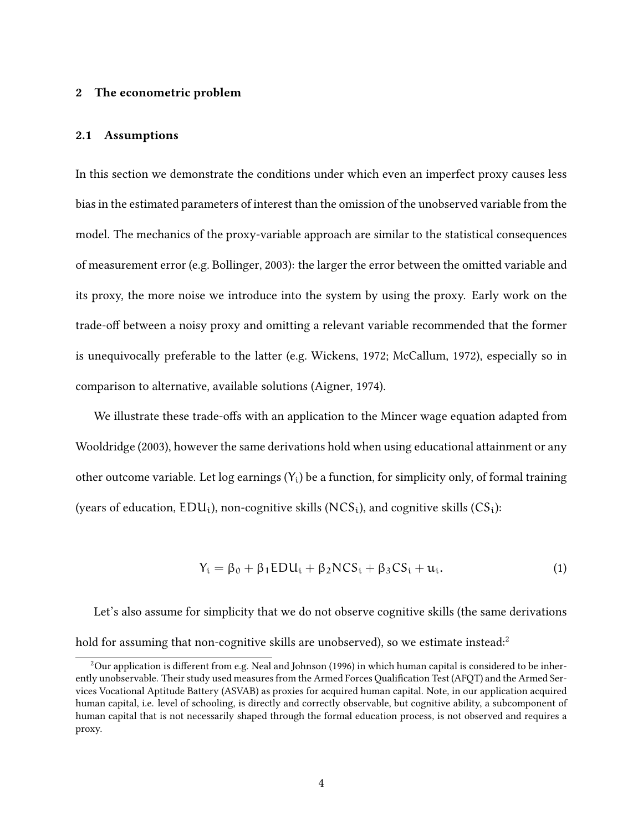#### **2 The econometric problem**

#### **2.1 Assumptions**

In this section we demonstrate the conditions under which even an imperfect proxy causes less bias in the estimated parameters of interest than the omission of the unobserved variable from the model. The mechanics of the proxy-variable approach are similar to the statistical consequences of measurement error (e.g. Bollinger, 2003): the larger the error between the omitted variable and its proxy, the more noise we introduce into the system by using the proxy. Early work on the trade-off between a noisy proxy and omitting a relevant variable recommended that the former is unequivocally preferable to the latter (e.g. Wickens, 1972; McCallum, 1972), especially so in comparison to alternative, available solutions (Aigner, 1974).

We illustrate these trade-offs with an application to the Mincer wage equation adapted from Wooldridge (2003), however the same derivations hold when using educational attainment or any other outcome variable. Let log earnings  $(Y_i)$  be a function, for simplicity only, of formal training (years of education,  $EDU_i$ ), non-cognitive skills ( $NCS_i$ ), and cognitive skills ( $CS_i$ ):

$$
Y_i = \beta_0 + \beta_1 EDU_i + \beta_2 NCS_i + \beta_3 CS_i + u_i.
$$
 (1)

Let's also assume for simplicity that we do not observe cognitive skills (the same derivations hold for assuming that non-cognitive skills are unobserved), so we estimate instead: $2$ 

 $2$ Our application is different from e.g. Neal and Johnson (1996) in which human capital is considered to be inherently unobservable. Their study used measures from the Armed Forces Qualification Test (AFQT) and the Armed Services Vocational Aptitude Battery (ASVAB) as proxies for acquired human capital. Note, in our application acquired human capital, i.e. level of schooling, is directly and correctly observable, but cognitive ability, a subcomponent of human capital that is not necessarily shaped through the formal education process, is not observed and requires a proxy.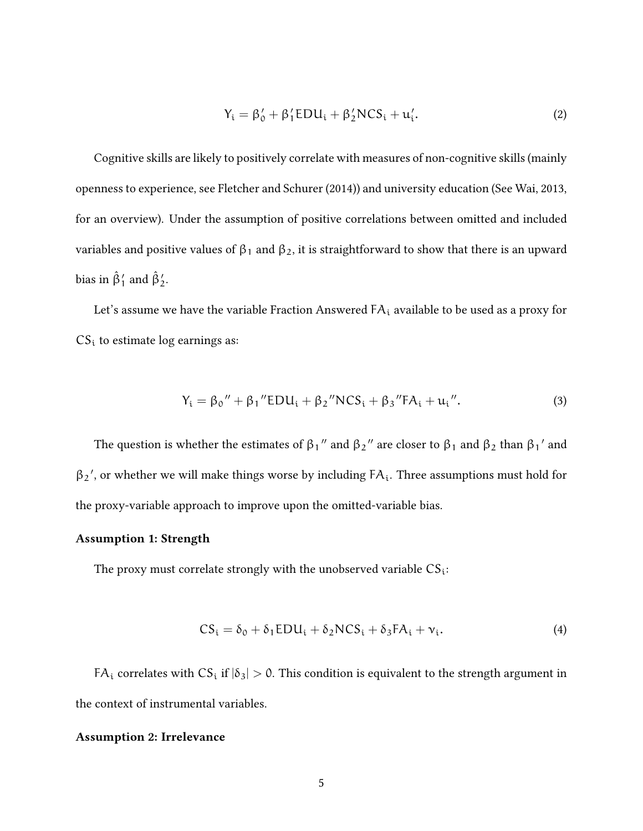$$
Y_i = \beta'_0 + \beta'_1 \text{EDU}_i + \beta'_2 \text{NCS}_i + u'_i. \tag{2}
$$

Cognitive skills are likely to positively correlate with measures of non-cognitive skills (mainly openness to experience, see Fletcher and Schurer (2014)) and university education (See Wai, 2013, for an overview). Under the assumption of positive correlations between omitted and included variables and positive values of  $\beta_1$  and  $\beta_2$ , it is straightforward to show that there is an upward bias in  $\hat{\beta}'_1$  and  $\hat{\beta}'_2$ .

Let's assume we have the variable Fraction Answered  $FA_i$  available to be used as a proxy for  $CS<sub>i</sub>$  to estimate log earnings as:

$$
Y_{i} = \beta_{0}'' + \beta_{1}''EDU_{i} + \beta_{2}''NCS_{i} + \beta_{3}''FA_{i} + u_{i}''.
$$
 (3)

The question is whether the estimates of  $β_1$ " and  $β_2$ " are closer to  $β_1$  and  $β_2$  than  $β_1$ ' and  $\beta_2'$ , or whether we will make things worse by including  $FA_i$ . Three assumptions must hold for the proxy-variable approach to improve upon the omitted-variable bias.

#### **Assumption 1: Strength**

The proxy must correlate strongly with the unobserved variable  $CS_i$ :

$$
CS_i = \delta_0 + \delta_1 EDU_i + \delta_2 NCS_i + \delta_3 FA_i + \nu_i. \tag{4}
$$

FA<sub>i</sub> correlates with CS<sub>i</sub> if  $|\delta_3| > 0$ . This condition is equivalent to the strength argument in the context of instrumental variables.

#### **Assumption 2: Irrelevance**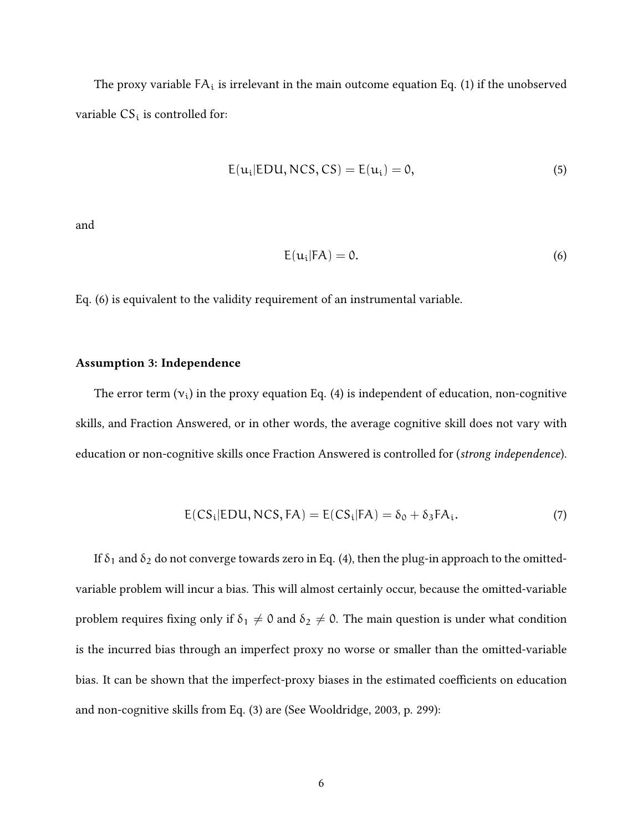The proxy variable  $FA_i$  is irrelevant in the main outcome equation Eq. (1) if the unobserved variable  $CS_i$  is controlled for:

$$
E(ui|EDU, NCS, CS) = E(ui) = 0,
$$
\n(5)

and

$$
E(u_i|FA) = 0.
$$
 (6)

Eq. (6) is equivalent to the validity requirement of an instrumental variable.

#### **Assumption 3: Independence**

The error term  $(v_i)$  in the proxy equation Eq. (4) is independent of education, non-cognitive skills, and Fraction Answered, or in other words, the average cognitive skill does not vary with education or non-cognitive skills once Fraction Answered is controlled for (*strong independence*).

$$
E(CS_i|EDU, NCS, FA) = E(CS_i|FA) = \delta_0 + \delta_3 FA_i.
$$
 (7)

If  $\delta_1$  and  $\delta_2$  do not converge towards zero in Eq. (4), then the plug-in approach to the omittedvariable problem will incur a bias. This will almost certainly occur, because the omitted-variable problem requires fixing only if  $\delta_1 \neq 0$  and  $\delta_2 \neq 0$ . The main question is under what condition is the incurred bias through an imperfect proxy no worse or smaller than the omitted-variable bias. It can be shown that the imperfect-proxy biases in the estimated coefficients on education and non-cognitive skills from Eq. (3) are (See Wooldridge, 2003, p. 299):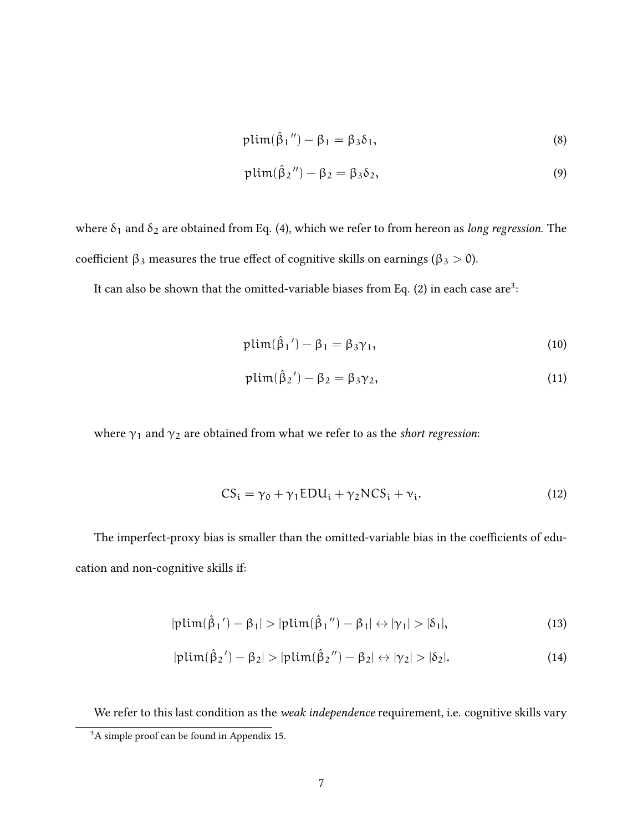$$
plim(\hat{\beta}_1'') - \beta_1 = \beta_3 \delta_1, \tag{8}
$$

$$
plim(\hat{\beta}_2'') - \beta_2 = \beta_3 \delta_2, \tag{9}
$$

where  $\delta_1$  and  $\delta_2$  are obtained from Eq. (4), which we refer to from hereon as *long regression*. The coefficient  $β_3$  measures the true effect of cognitive skills on earnings ( $β_3 > 0$ ).

It can also be shown that the omitted-variable biases from Eq. (2) in each case are<sup>3</sup>:

$$
\text{plim}(\hat{\beta}_1') - \beta_1 = \beta_3 \gamma_1,\tag{10}
$$

$$
plim(\hat{\beta}_2') - \beta_2 = \beta_3 \gamma_2, \qquad (11)
$$

where  $\gamma_1$  and  $\gamma_2$  are obtained from what we refer to as the *short regression*:

$$
CS_i = \gamma_0 + \gamma_1 EDU_i + \gamma_2 NCS_i + \nu_i. \tag{12}
$$

The imperfect-proxy bias is smaller than the omitted-variable bias in the coefficients of education and non-cognitive skills if:

$$
|\text{plim}(\hat{\beta}_1') - \beta_1| > |\text{plim}(\hat{\beta}_1'') - \beta_1| \leftrightarrow |\gamma_1| > |\delta_1|,
$$
\n(13)

$$
|\text{plim}(\hat{\beta}_2') - \beta_2| > |\text{plim}(\hat{\beta}_2'') - \beta_2| \leftrightarrow |\gamma_2| > |\delta_2|.
$$
 (14)

We refer to this last condition as the *weak independence* requirement, i.e. cognitive skills vary

<sup>&</sup>lt;sup>3</sup>A simple proof can be found in Appendix 15.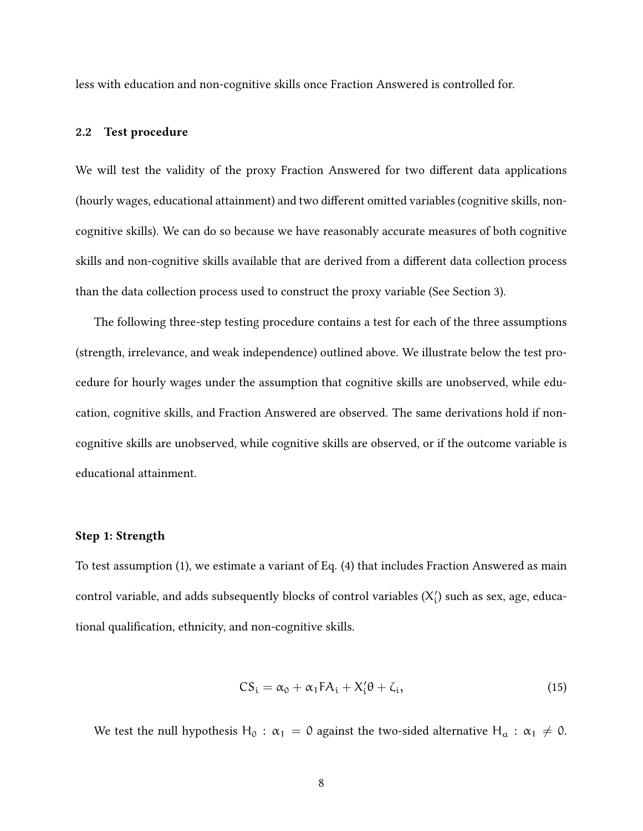less with education and non-cognitive skills once Fraction Answered is controlled for.

#### **2.2 Test procedure**

We will test the validity of the proxy Fraction Answered for two different data applications (hourly wages, educational attainment) and two different omitted variables (cognitive skills, noncognitive skills). We can do so because we have reasonably accurate measures of both cognitive skills and non-cognitive skills available that are derived from a different data collection process than the data collection process used to construct the proxy variable (See Section 3).

The following three-step testing procedure contains a test for each of the three assumptions (strength, irrelevance, and weak independence) outlined above. We illustrate below the test procedure for hourly wages under the assumption that cognitive skills are unobserved, while education, cognitive skills, and Fraction Answered are observed. The same derivations hold if noncognitive skills are unobserved, while cognitive skills are observed, or if the outcome variable is educational attainment.

#### **Step 1: Strength**

To test assumption (1), we estimate a variant of Eq. (4) that includes Fraction Answered as main control variable, and adds subsequently blocks of control variables  $(X_i')$  such as sex, age, educational qualification, ethnicity, and non-cognitive skills.

$$
CS_i = \alpha_0 + \alpha_1 FA_i + X_i'\theta + \zeta_i, \qquad (15)
$$

We test the null hypothesis H<sub>0</sub> :  $\alpha_1 = 0$  against the two-sided alternative H<sub>a</sub> :  $\alpha_1 \neq 0$ .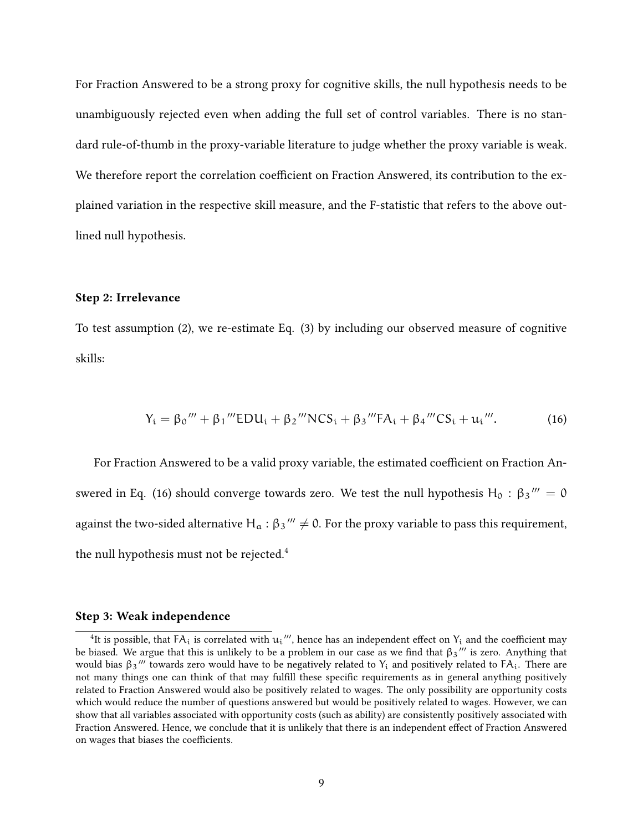For Fraction Answered to be a strong proxy for cognitive skills, the null hypothesis needs to be unambiguously rejected even when adding the full set of control variables. There is no standard rule-of-thumb in the proxy-variable literature to judge whether the proxy variable is weak. We therefore report the correlation coefficient on Fraction Answered, its contribution to the explained variation in the respective skill measure, and the F-statistic that refers to the above outlined null hypothesis.

#### **Step 2: Irrelevance**

To test assumption (2), we re-estimate Eq. (3) by including our observed measure of cognitive skills:

$$
Y_i = \beta_0''' + \beta_1'''EDU_i + \beta_2'''NCS_i + \beta_3'''FA_i + \beta_4'''CS_i + u_i'''.
$$
 (16)

For Fraction Answered to be a valid proxy variable, the estimated coefficient on Fraction Answered in Eq. (16) should converge towards zero. We test the null hypothesis H<sub>0</sub> : β3 $'''=0$ against the two-sided alternative  $H_a$  :  $β_3'''$   $\neq$  0. For the proxy variable to pass this requirement, the null hypothesis must not be rejected.<sup>4</sup>

#### **Step 3: Weak independence**

<sup>&</sup>lt;sup>4</sup>It is possible, that  $FA_i$  is correlated with  $u_i$ <sup>*'''*</sup>, hence has an independent effect on  $Y_i$  and the coefficient may be biased. We argue that this is unlikely to be a problem in our case as we find that β<sup>3</sup> *′′′* is zero. Anything that would bias β3''' towards zero would have to be negatively related to Y<sub>i</sub> and positively related to FA<sub>i</sub>. There are not many things one can think of that may fulfill these specific requirements as in general anything positively related to Fraction Answered would also be positively related to wages. The only possibility are opportunity costs which would reduce the number of questions answered but would be positively related to wages. However, we can show that all variables associated with opportunity costs (such as ability) are consistently positively associated with Fraction Answered. Hence, we conclude that it is unlikely that there is an independent effect of Fraction Answered on wages that biases the coefficients.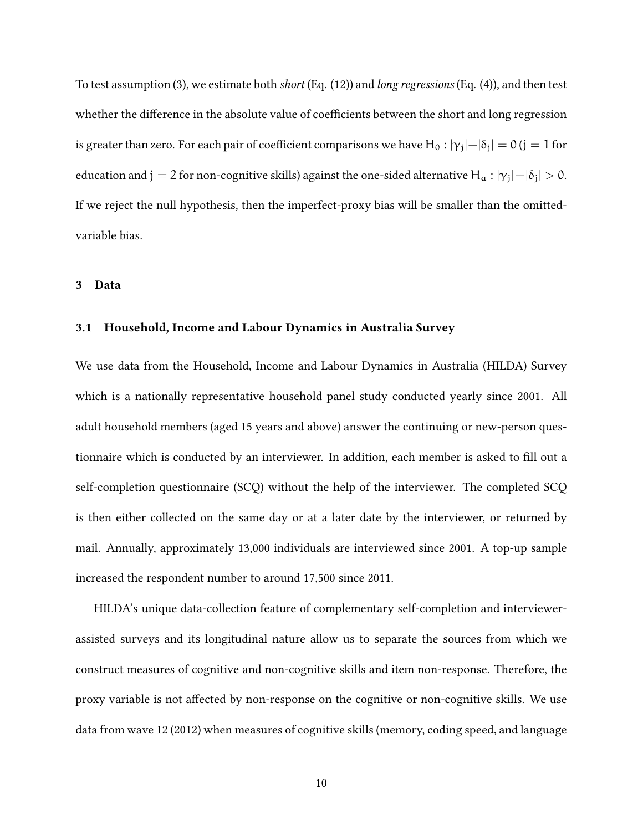To test assumption (3), we estimate both *short* (Eq. (12)) and *long regressions* (Eq. (4)), and then test whether the difference in the absolute value of coefficients between the short and long regression is greater than zero. For each pair of coefficient comparisons we have  ${\rm H_0}$  :  $|\gamma_{\rm j}|-|\delta_{\rm j}|=$  0 (j  $=1$  for education and  ${\rm j}=2$  for non-cognitive skills) against the one-sided alternative  ${\rm H}_{\rm a}:|{\rm \gamma}_{\rm j}|-|{\rm \delta}_{\rm j}|>0.$ If we reject the null hypothesis, then the imperfect-proxy bias will be smaller than the omittedvariable bias.

#### **3 Data**

#### **3.1 Household, Income and Labour Dynamics in Australia Survey**

We use data from the Household, Income and Labour Dynamics in Australia (HILDA) Survey which is a nationally representative household panel study conducted yearly since 2001. All adult household members (aged 15 years and above) answer the continuing or new-person questionnaire which is conducted by an interviewer. In addition, each member is asked to fill out a self-completion questionnaire (SCQ) without the help of the interviewer. The completed SCQ is then either collected on the same day or at a later date by the interviewer, or returned by mail. Annually, approximately 13,000 individuals are interviewed since 2001. A top-up sample increased the respondent number to around 17,500 since 2011.

HILDA's unique data-collection feature of complementary self-completion and interviewerassisted surveys and its longitudinal nature allow us to separate the sources from which we construct measures of cognitive and non-cognitive skills and item non-response. Therefore, the proxy variable is not affected by non-response on the cognitive or non-cognitive skills. We use data from wave 12 (2012) when measures of cognitive skills (memory, coding speed, and language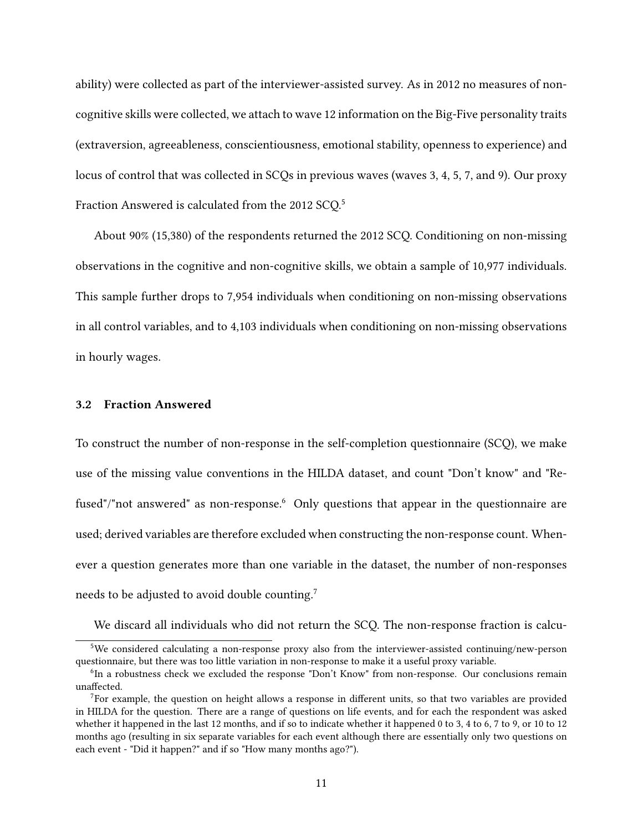ability) were collected as part of the interviewer-assisted survey. As in 2012 no measures of noncognitive skills were collected, we attach to wave 12 information on the Big-Five personality traits (extraversion, agreeableness, conscientiousness, emotional stability, openness to experience) and locus of control that was collected in SCQs in previous waves (waves 3, 4, 5, 7, and 9). Our proxy Fraction Answered is calculated from the 2012 SCQ.<sup>5</sup>

About 90% (15,380) of the respondents returned the 2012 SCQ. Conditioning on non-missing observations in the cognitive and non-cognitive skills, we obtain a sample of 10,977 individuals. This sample further drops to 7,954 individuals when conditioning on non-missing observations in all control variables, and to 4,103 individuals when conditioning on non-missing observations in hourly wages.

#### **3.2 Fraction Answered**

To construct the number of non-response in the self-completion questionnaire (SCQ), we make use of the missing value conventions in the HILDA dataset, and count "Don't know" and "Refused"/"not answered" as non-response.<sup>6</sup> Only questions that appear in the questionnaire are used; derived variables are therefore excluded when constructing the non-response count. Whenever a question generates more than one variable in the dataset, the number of non-responses needs to be adjusted to avoid double counting.<sup>7</sup>

We discard all individuals who did not return the SCQ. The non-response fraction is calcu-

<sup>5</sup>We considered calculating a non-response proxy also from the interviewer-assisted continuing/new-person questionnaire, but there was too little variation in non-response to make it a useful proxy variable.

<sup>&</sup>lt;sup>6</sup>In a robustness check we excluded the response "Don't Know" from non-response. Our conclusions remain unaffected.

<sup>&</sup>lt;sup>7</sup>For example, the question on height allows a response in different units, so that two variables are provided in HILDA for the question. There are a range of questions on life events, and for each the respondent was asked whether it happened in the last 12 months, and if so to indicate whether it happened 0 to 3, 4 to 6, 7 to 9, or 10 to 12 months ago (resulting in six separate variables for each event although there are essentially only two questions on each event - "Did it happen?" and if so "How many months ago?").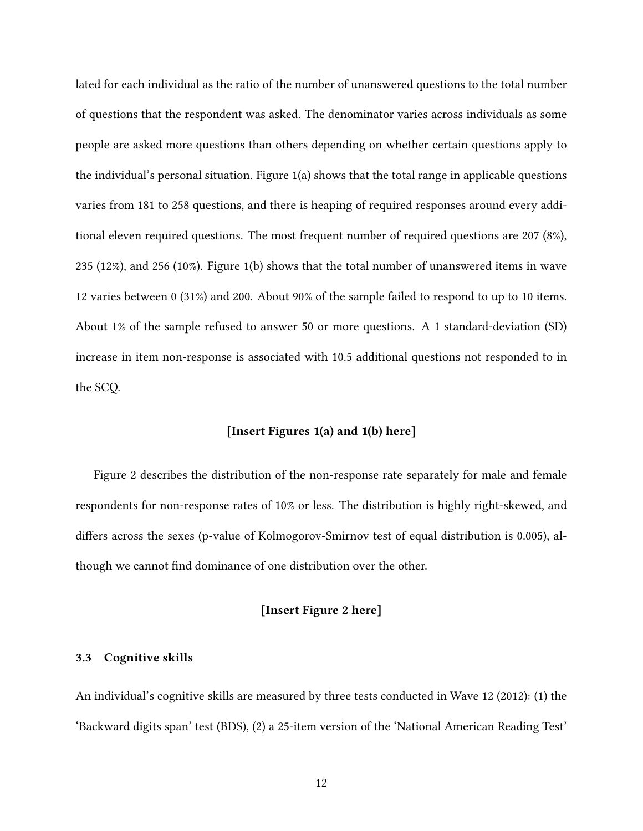lated for each individual as the ratio of the number of unanswered questions to the total number of questions that the respondent was asked. The denominator varies across individuals as some people are asked more questions than others depending on whether certain questions apply to the individual's personal situation. Figure 1(a) shows that the total range in applicable questions varies from 181 to 258 questions, and there is heaping of required responses around every additional eleven required questions. The most frequent number of required questions are 207 (8%), 235 (12%), and 256 (10%). Figure 1(b) shows that the total number of unanswered items in wave 12 varies between 0 (31%) and 200. About 90% of the sample failed to respond to up to 10 items. About 1% of the sample refused to answer 50 or more questions. A 1 standard-deviation (SD) increase in item non-response is associated with 10.5 additional questions not responded to in the SCQ.

#### **[Insert Figures 1(a) and 1(b) here]**

Figure 2 describes the distribution of the non-response rate separately for male and female respondents for non-response rates of 10% or less. The distribution is highly right-skewed, and differs across the sexes (p-value of Kolmogorov-Smirnov test of equal distribution is 0.005), although we cannot find dominance of one distribution over the other.

#### **[Insert Figure 2 here]**

#### **3.3 Cognitive skills**

An individual's cognitive skills are measured by three tests conducted in Wave 12 (2012): (1) the 'Backward digits span' test (BDS), (2) a 25-item version of the 'National American Reading Test'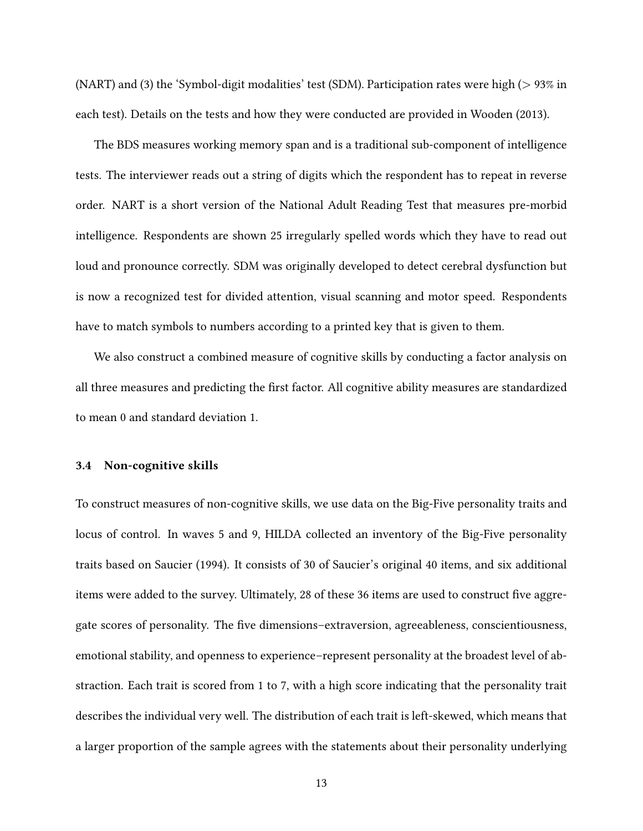(NART) and (3) the 'Symbol-digit modalities' test (SDM). Participation rates were high (> 93% in each test). Details on the tests and how they were conducted are provided in Wooden (2013).

The BDS measures working memory span and is a traditional sub-component of intelligence tests. The interviewer reads out a string of digits which the respondent has to repeat in reverse order. NART is a short version of the National Adult Reading Test that measures pre-morbid intelligence. Respondents are shown 25 irregularly spelled words which they have to read out loud and pronounce correctly. SDM was originally developed to detect cerebral dysfunction but is now a recognized test for divided attention, visual scanning and motor speed. Respondents have to match symbols to numbers according to a printed key that is given to them.

We also construct a combined measure of cognitive skills by conducting a factor analysis on all three measures and predicting the first factor. All cognitive ability measures are standardized to mean 0 and standard deviation 1.

#### **3.4 Non-cognitive skills**

To construct measures of non-cognitive skills, we use data on the Big-Five personality traits and locus of control. In waves 5 and 9, HILDA collected an inventory of the Big-Five personality traits based on Saucier (1994). It consists of 30 of Saucier's original 40 items, and six additional items were added to the survey. Ultimately, 28 of these 36 items are used to construct five aggregate scores of personality. The five dimensions–extraversion, agreeableness, conscientiousness, emotional stability, and openness to experience–represent personality at the broadest level of abstraction. Each trait is scored from 1 to 7, with a high score indicating that the personality trait describes the individual very well. The distribution of each trait is left-skewed, which means that a larger proportion of the sample agrees with the statements about their personality underlying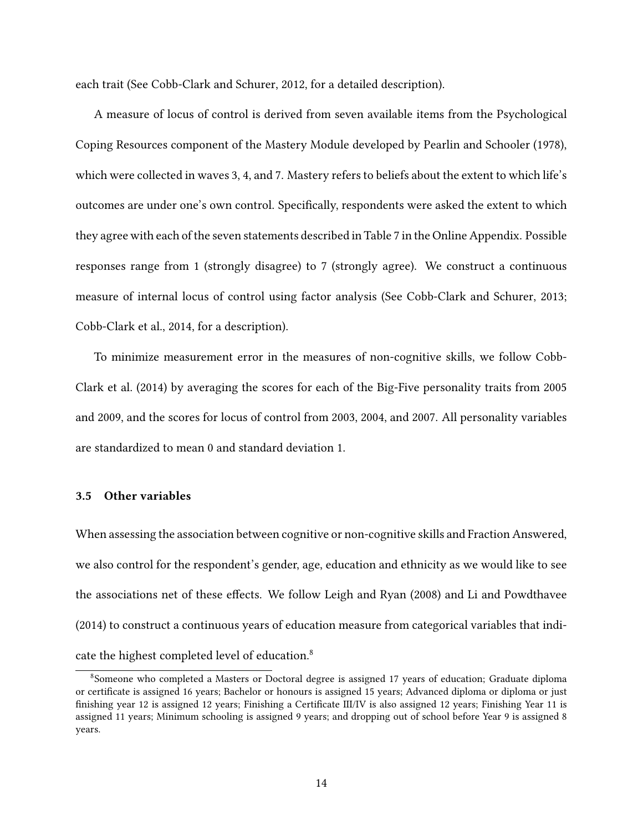each trait (See Cobb-Clark and Schurer, 2012, for a detailed description).

A measure of locus of control is derived from seven available items from the Psychological Coping Resources component of the Mastery Module developed by Pearlin and Schooler (1978), which were collected in waves 3, 4, and 7. Mastery refers to beliefs about the extent to which life's outcomes are under one's own control. Specifically, respondents were asked the extent to which they agree with each of the seven statements described in Table 7 in the Online Appendix. Possible responses range from 1 (strongly disagree) to 7 (strongly agree). We construct a continuous measure of internal locus of control using factor analysis (See Cobb-Clark and Schurer, 2013; Cobb-Clark et al., 2014, for a description).

To minimize measurement error in the measures of non-cognitive skills, we follow Cobb-Clark et al. (2014) by averaging the scores for each of the Big-Five personality traits from 2005 and 2009, and the scores for locus of control from 2003, 2004, and 2007. All personality variables are standardized to mean 0 and standard deviation 1.

#### **3.5 Other variables**

When assessing the association between cognitive or non-cognitive skills and Fraction Answered, we also control for the respondent's gender, age, education and ethnicity as we would like to see the associations net of these effects. We follow Leigh and Ryan (2008) and Li and Powdthavee (2014) to construct a continuous years of education measure from categorical variables that indicate the highest completed level of education.<sup>8</sup>

<sup>8</sup>Someone who completed a Masters or Doctoral degree is assigned 17 years of education; Graduate diploma or certificate is assigned 16 years; Bachelor or honours is assigned 15 years; Advanced diploma or diploma or just finishing year 12 is assigned 12 years; Finishing a Certificate III/IV is also assigned 12 years; Finishing Year 11 is assigned 11 years; Minimum schooling is assigned 9 years; and dropping out of school before Year 9 is assigned 8 years.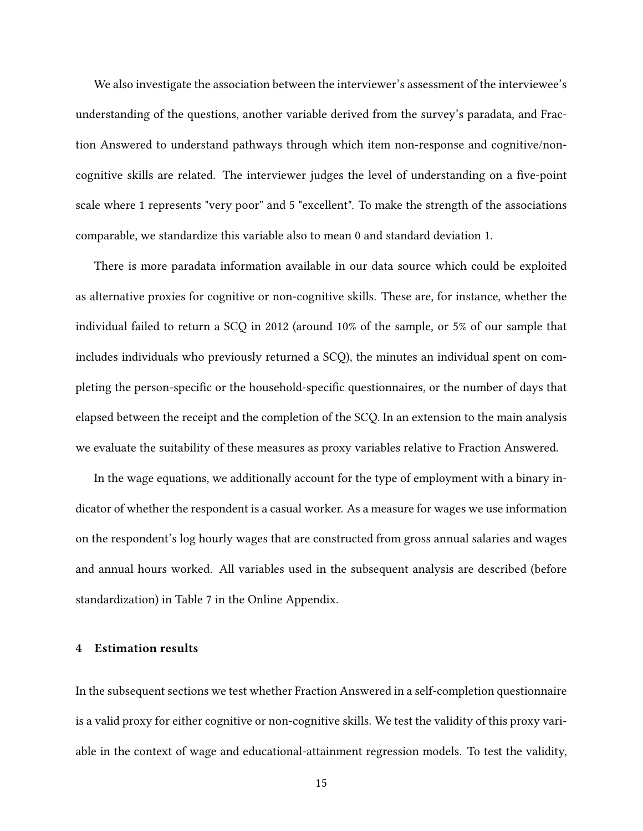We also investigate the association between the interviewer's assessment of the interviewee's understanding of the questions, another variable derived from the survey's paradata, and Fraction Answered to understand pathways through which item non-response and cognitive/noncognitive skills are related. The interviewer judges the level of understanding on a five-point scale where 1 represents "very poor" and 5 "excellent". To make the strength of the associations comparable, we standardize this variable also to mean 0 and standard deviation 1.

There is more paradata information available in our data source which could be exploited as alternative proxies for cognitive or non-cognitive skills. These are, for instance, whether the individual failed to return a SCQ in 2012 (around 10% of the sample, or 5% of our sample that includes individuals who previously returned a SCQ), the minutes an individual spent on completing the person-specific or the household-specific questionnaires, or the number of days that elapsed between the receipt and the completion of the SCQ. In an extension to the main analysis we evaluate the suitability of these measures as proxy variables relative to Fraction Answered.

In the wage equations, we additionally account for the type of employment with a binary indicator of whether the respondent is a casual worker. As a measure for wages we use information on the respondent's log hourly wages that are constructed from gross annual salaries and wages and annual hours worked. All variables used in the subsequent analysis are described (before standardization) in Table 7 in the Online Appendix.

#### **4 Estimation results**

In the subsequent sections we test whether Fraction Answered in a self-completion questionnaire is a valid proxy for either cognitive or non-cognitive skills. We test the validity of this proxy variable in the context of wage and educational-attainment regression models. To test the validity,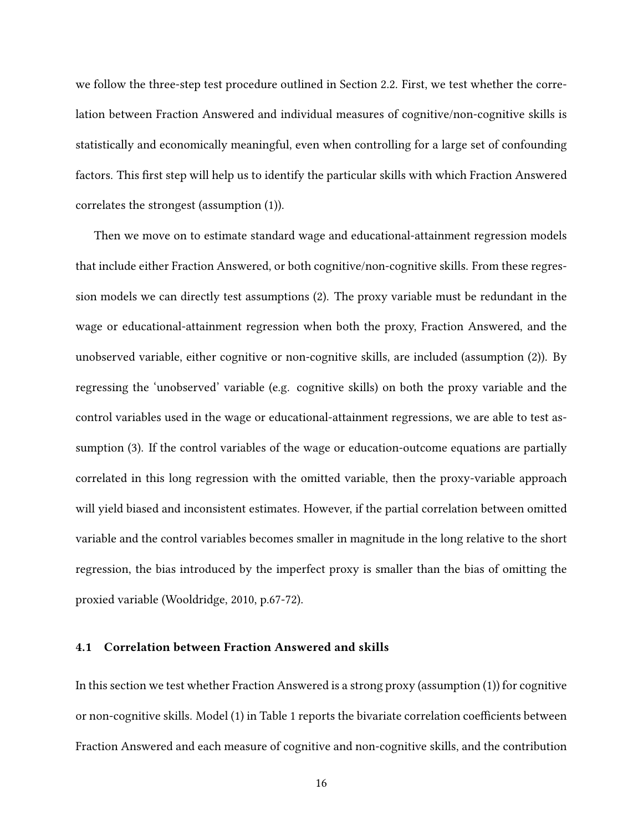we follow the three-step test procedure outlined in Section 2.2. First, we test whether the correlation between Fraction Answered and individual measures of cognitive/non-cognitive skills is statistically and economically meaningful, even when controlling for a large set of confounding factors. This first step will help us to identify the particular skills with which Fraction Answered correlates the strongest (assumption (1)).

Then we move on to estimate standard wage and educational-attainment regression models that include either Fraction Answered, or both cognitive/non-cognitive skills. From these regression models we can directly test assumptions (2). The proxy variable must be redundant in the wage or educational-attainment regression when both the proxy, Fraction Answered, and the unobserved variable, either cognitive or non-cognitive skills, are included (assumption (2)). By regressing the 'unobserved' variable (e.g. cognitive skills) on both the proxy variable and the control variables used in the wage or educational-attainment regressions, we are able to test assumption (3). If the control variables of the wage or education-outcome equations are partially correlated in this long regression with the omitted variable, then the proxy-variable approach will yield biased and inconsistent estimates. However, if the partial correlation between omitted variable and the control variables becomes smaller in magnitude in the long relative to the short regression, the bias introduced by the imperfect proxy is smaller than the bias of omitting the proxied variable (Wooldridge, 2010, p.67-72).

#### **4.1 Correlation between Fraction Answered and skills**

In this section we test whether Fraction Answered is a strong proxy (assumption (1)) for cognitive or non-cognitive skills. Model (1) in Table 1 reports the bivariate correlation coefficients between Fraction Answered and each measure of cognitive and non-cognitive skills, and the contribution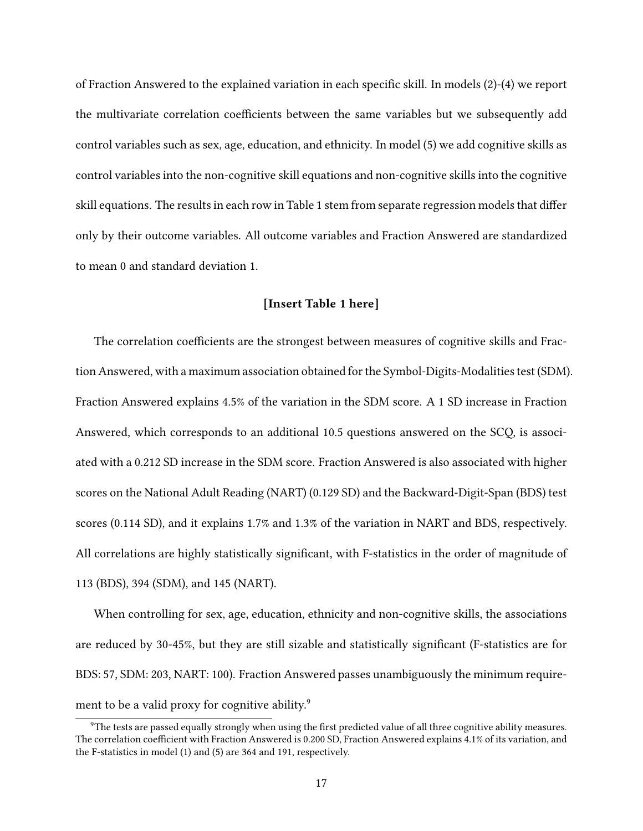of Fraction Answered to the explained variation in each specific skill. In models (2)-(4) we report the multivariate correlation coefficients between the same variables but we subsequently add control variables such as sex, age, education, and ethnicity. In model (5) we add cognitive skills as control variables into the non-cognitive skill equations and non-cognitive skills into the cognitive skill equations. The results in each row in Table 1 stem from separate regression models that differ only by their outcome variables. All outcome variables and Fraction Answered are standardized to mean 0 and standard deviation 1.

#### **[Insert Table 1 here]**

The correlation coefficients are the strongest between measures of cognitive skills and Fraction Answered, with a maximum association obtained for the Symbol-Digits-Modalities test (SDM). Fraction Answered explains 4.5% of the variation in the SDM score. A 1 SD increase in Fraction Answered, which corresponds to an additional 10.5 questions answered on the SCQ, is associated with a 0.212 SD increase in the SDM score. Fraction Answered is also associated with higher scores on the National Adult Reading (NART) (0.129 SD) and the Backward-Digit-Span (BDS) test scores (0.114 SD), and it explains 1.7% and 1.3% of the variation in NART and BDS, respectively. All correlations are highly statistically significant, with F-statistics in the order of magnitude of 113 (BDS), 394 (SDM), and 145 (NART).

When controlling for sex, age, education, ethnicity and non-cognitive skills, the associations are reduced by 30-45%, but they are still sizable and statistically significant (F-statistics are for BDS: 57, SDM: 203, NART: 100). Fraction Answered passes unambiguously the minimum requirement to be a valid proxy for cognitive ability.<sup>9</sup>

<sup>9</sup>The tests are passed equally strongly when using the first predicted value of all three cognitive ability measures. The correlation coefficient with Fraction Answered is 0.200 SD, Fraction Answered explains 4.1% of its variation, and the F-statistics in model (1) and (5) are 364 and 191, respectively.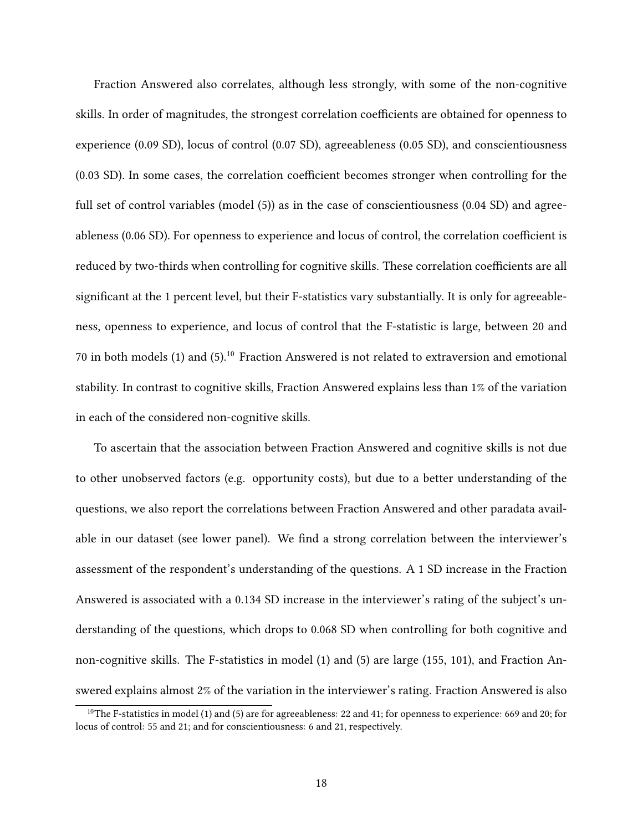Fraction Answered also correlates, although less strongly, with some of the non-cognitive skills. In order of magnitudes, the strongest correlation coefficients are obtained for openness to experience (0.09 SD), locus of control (0.07 SD), agreeableness (0.05 SD), and conscientiousness (0.03 SD). In some cases, the correlation coefficient becomes stronger when controlling for the full set of control variables (model (5)) as in the case of conscientiousness (0.04 SD) and agreeableness (0.06 SD). For openness to experience and locus of control, the correlation coefficient is reduced by two-thirds when controlling for cognitive skills. These correlation coefficients are all significant at the 1 percent level, but their F-statistics vary substantially. It is only for agreeableness, openness to experience, and locus of control that the F-statistic is large, between 20 and 70 in both models (1) and (5).<sup>10</sup> Fraction Answered is not related to extraversion and emotional stability. In contrast to cognitive skills, Fraction Answered explains less than 1% of the variation in each of the considered non-cognitive skills.

To ascertain that the association between Fraction Answered and cognitive skills is not due to other unobserved factors (e.g. opportunity costs), but due to a better understanding of the questions, we also report the correlations between Fraction Answered and other paradata available in our dataset (see lower panel). We find a strong correlation between the interviewer's assessment of the respondent's understanding of the questions. A 1 SD increase in the Fraction Answered is associated with a 0.134 SD increase in the interviewer's rating of the subject's understanding of the questions, which drops to 0.068 SD when controlling for both cognitive and non-cognitive skills. The F-statistics in model (1) and (5) are large (155, 101), and Fraction Answered explains almost 2% of the variation in the interviewer's rating. Fraction Answered is also

<sup>&</sup>lt;sup>10</sup>The F-statistics in model (1) and (5) are for agreeableness: 22 and 41; for openness to experience: 669 and 20; for locus of control: 55 and 21; and for conscientiousness: 6 and 21, respectively.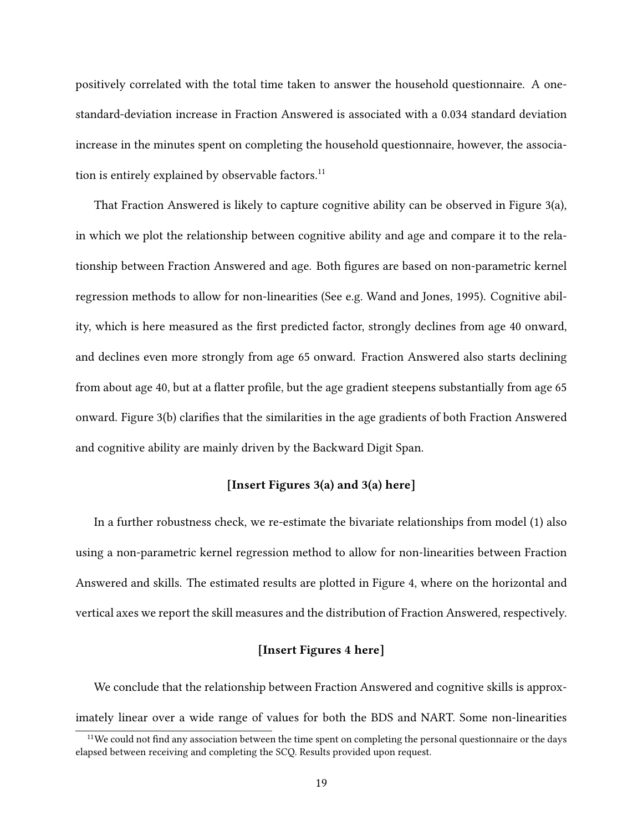positively correlated with the total time taken to answer the household questionnaire. A onestandard-deviation increase in Fraction Answered is associated with a 0.034 standard deviation increase in the minutes spent on completing the household questionnaire, however, the association is entirely explained by observable factors. $^{11}$ 

That Fraction Answered is likely to capture cognitive ability can be observed in Figure 3(a), in which we plot the relationship between cognitive ability and age and compare it to the relationship between Fraction Answered and age. Both figures are based on non-parametric kernel regression methods to allow for non-linearities (See e.g. Wand and Jones, 1995). Cognitive ability, which is here measured as the first predicted factor, strongly declines from age 40 onward, and declines even more strongly from age 65 onward. Fraction Answered also starts declining from about age 40, but at a flatter profile, but the age gradient steepens substantially from age 65 onward. Figure 3(b) clarifies that the similarities in the age gradients of both Fraction Answered and cognitive ability are mainly driven by the Backward Digit Span.

#### **[Insert Figures 3(a) and 3(a) here]**

In a further robustness check, we re-estimate the bivariate relationships from model (1) also using a non-parametric kernel regression method to allow for non-linearities between Fraction Answered and skills. The estimated results are plotted in Figure 4, where on the horizontal and vertical axes we report the skill measures and the distribution of Fraction Answered, respectively.

#### **[Insert Figures 4 here]**

We conclude that the relationship between Fraction Answered and cognitive skills is approximately linear over a wide range of values for both the BDS and NART. Some non-linearities

 $11$ We could not find any association between the time spent on completing the personal questionnaire or the days elapsed between receiving and completing the SCQ. Results provided upon request.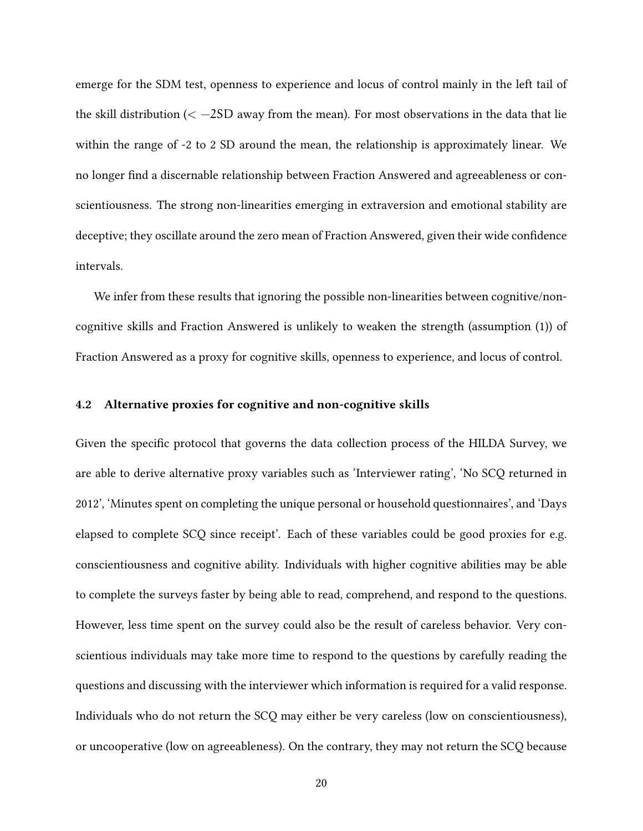emerge for the SDM test, openness to experience and locus of control mainly in the left tail of the skill distribution ( $\langle -2SD$  away from the mean). For most observations in the data that lie within the range of -2 to 2 SD around the mean, the relationship is approximately linear. We no longer find a discernable relationship between Fraction Answered and agreeableness or conscientiousness. The strong non-linearities emerging in extraversion and emotional stability are deceptive; they oscillate around the zero mean of Fraction Answered, given their wide confidence intervals.

We infer from these results that ignoring the possible non-linearities between cognitive/noncognitive skills and Fraction Answered is unlikely to weaken the strength (assumption (1)) of Fraction Answered as a proxy for cognitive skills, openness to experience, and locus of control.

#### **4.2 Alternative proxies for cognitive and non-cognitive skills**

Given the specific protocol that governs the data collection process of the HILDA Survey, we are able to derive alternative proxy variables such as 'Interviewer rating', 'No SCQ returned in 2012', 'Minutes spent on completing the unique personal or household questionnaires', and 'Days elapsed to complete SCQ since receipt'. Each of these variables could be good proxies for e.g. conscientiousness and cognitive ability. Individuals with higher cognitive abilities may be able to complete the surveys faster by being able to read, comprehend, and respond to the questions. However, less time spent on the survey could also be the result of careless behavior. Very conscientious individuals may take more time to respond to the questions by carefully reading the questions and discussing with the interviewer which information is required for a valid response. Individuals who do not return the SCQ may either be very careless (low on conscientiousness), or uncooperative (low on agreeableness). On the contrary, they may not return the SCQ because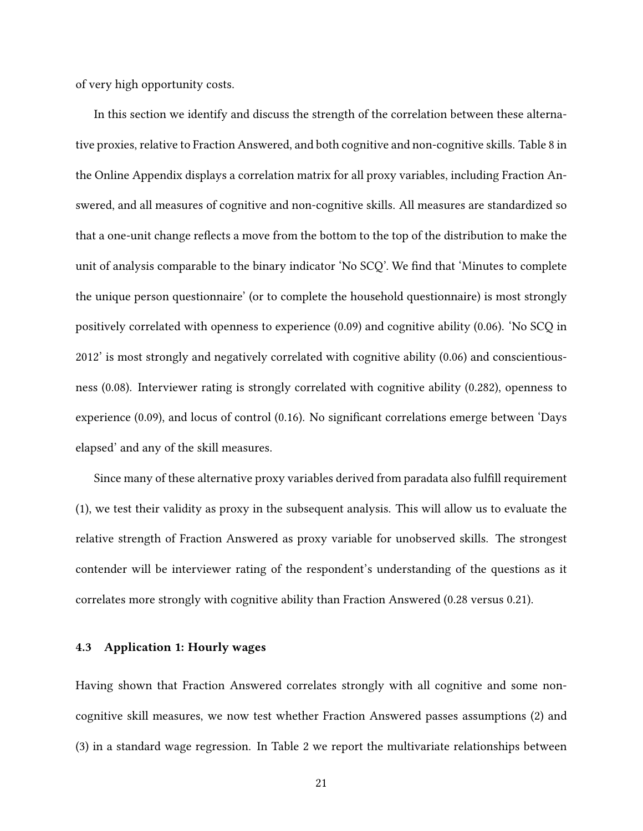of very high opportunity costs.

In this section we identify and discuss the strength of the correlation between these alternative proxies, relative to Fraction Answered, and both cognitive and non-cognitive skills. Table 8 in the Online Appendix displays a correlation matrix for all proxy variables, including Fraction Answered, and all measures of cognitive and non-cognitive skills. All measures are standardized so that a one-unit change reflects a move from the bottom to the top of the distribution to make the unit of analysis comparable to the binary indicator 'No SCQ'. We find that 'Minutes to complete the unique person questionnaire' (or to complete the household questionnaire) is most strongly positively correlated with openness to experience (0.09) and cognitive ability (0.06). 'No SCQ in 2012' is most strongly and negatively correlated with cognitive ability (0.06) and conscientiousness (0.08). Interviewer rating is strongly correlated with cognitive ability (0.282), openness to experience (0.09), and locus of control (0.16). No significant correlations emerge between 'Days elapsed' and any of the skill measures.

Since many of these alternative proxy variables derived from paradata also fulfill requirement (1), we test their validity as proxy in the subsequent analysis. This will allow us to evaluate the relative strength of Fraction Answered as proxy variable for unobserved skills. The strongest contender will be interviewer rating of the respondent's understanding of the questions as it correlates more strongly with cognitive ability than Fraction Answered (0.28 versus 0.21).

#### **4.3 Application 1: Hourly wages**

Having shown that Fraction Answered correlates strongly with all cognitive and some noncognitive skill measures, we now test whether Fraction Answered passes assumptions (2) and (3) in a standard wage regression. In Table 2 we report the multivariate relationships between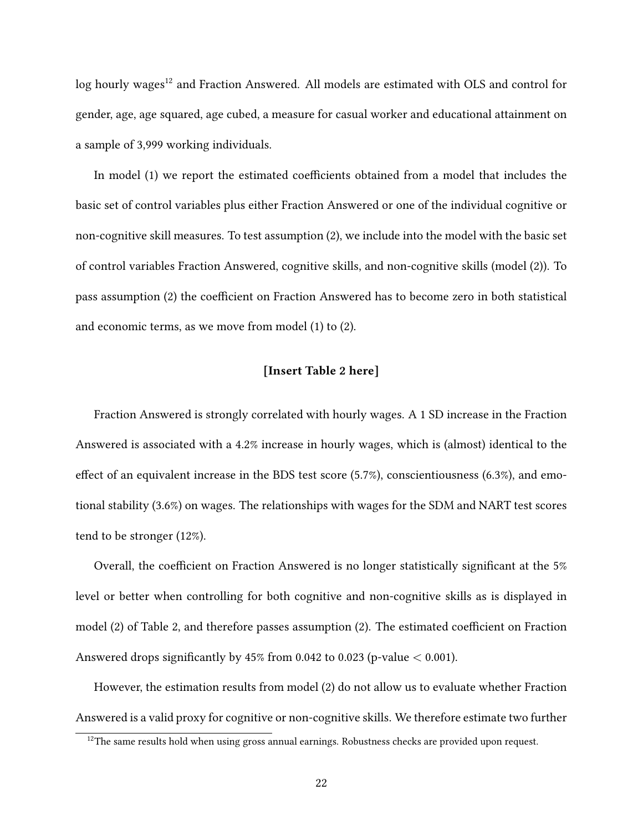log hourly wages<sup>12</sup> and Fraction Answered. All models are estimated with OLS and control for gender, age, age squared, age cubed, a measure for casual worker and educational attainment on a sample of 3,999 working individuals.

In model (1) we report the estimated coefficients obtained from a model that includes the basic set of control variables plus either Fraction Answered or one of the individual cognitive or non-cognitive skill measures. To test assumption (2), we include into the model with the basic set of control variables Fraction Answered, cognitive skills, and non-cognitive skills (model (2)). To pass assumption (2) the coefficient on Fraction Answered has to become zero in both statistical and economic terms, as we move from model (1) to (2).

#### **[Insert Table 2 here]**

Fraction Answered is strongly correlated with hourly wages. A 1 SD increase in the Fraction Answered is associated with a 4.2% increase in hourly wages, which is (almost) identical to the effect of an equivalent increase in the BDS test score (5.7%), conscientiousness (6.3%), and emotional stability (3.6%) on wages. The relationships with wages for the SDM and NART test scores tend to be stronger (12%).

Overall, the coefficient on Fraction Answered is no longer statistically significant at the 5% level or better when controlling for both cognitive and non-cognitive skills as is displayed in model (2) of Table 2, and therefore passes assumption (2). The estimated coefficient on Fraction Answered drops significantly by  $45\%$  from 0.042 to 0.023 (p-value  $< 0.001$ ).

However, the estimation results from model (2) do not allow us to evaluate whether Fraction Answered is a valid proxy for cognitive or non-cognitive skills. We therefore estimate two further

 $12$ The same results hold when using gross annual earnings. Robustness checks are provided upon request.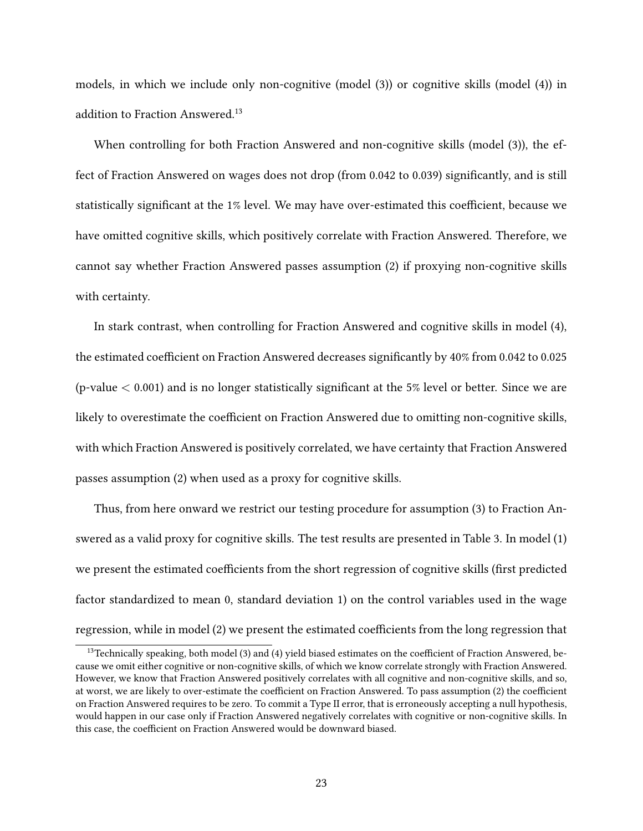models, in which we include only non-cognitive (model (3)) or cognitive skills (model (4)) in addition to Fraction Answered.<sup>13</sup>

When controlling for both Fraction Answered and non-cognitive skills (model (3)), the effect of Fraction Answered on wages does not drop (from 0.042 to 0.039) significantly, and is still statistically significant at the 1% level. We may have over-estimated this coefficient, because we have omitted cognitive skills, which positively correlate with Fraction Answered. Therefore, we cannot say whether Fraction Answered passes assumption (2) if proxying non-cognitive skills with certainty.

In stark contrast, when controlling for Fraction Answered and cognitive skills in model (4), the estimated coefficient on Fraction Answered decreases significantly by 40% from 0.042 to 0.025 (p-value  $< 0.001$ ) and is no longer statistically significant at the 5% level or better. Since we are likely to overestimate the coefficient on Fraction Answered due to omitting non-cognitive skills, with which Fraction Answered is positively correlated, we have certainty that Fraction Answered passes assumption (2) when used as a proxy for cognitive skills.

Thus, from here onward we restrict our testing procedure for assumption (3) to Fraction Answered as a valid proxy for cognitive skills. The test results are presented in Table 3. In model (1) we present the estimated coefficients from the short regression of cognitive skills (first predicted factor standardized to mean 0, standard deviation 1) on the control variables used in the wage regression, while in model (2) we present the estimated coefficients from the long regression that

<sup>&</sup>lt;sup>13</sup>Technically speaking, both model (3) and (4) yield biased estimates on the coefficient of Fraction Answered, because we omit either cognitive or non-cognitive skills, of which we know correlate strongly with Fraction Answered. However, we know that Fraction Answered positively correlates with all cognitive and non-cognitive skills, and so, at worst, we are likely to over-estimate the coefficient on Fraction Answered. To pass assumption (2) the coefficient on Fraction Answered requires to be zero. To commit a Type II error, that is erroneously accepting a null hypothesis, would happen in our case only if Fraction Answered negatively correlates with cognitive or non-cognitive skills. In this case, the coefficient on Fraction Answered would be downward biased.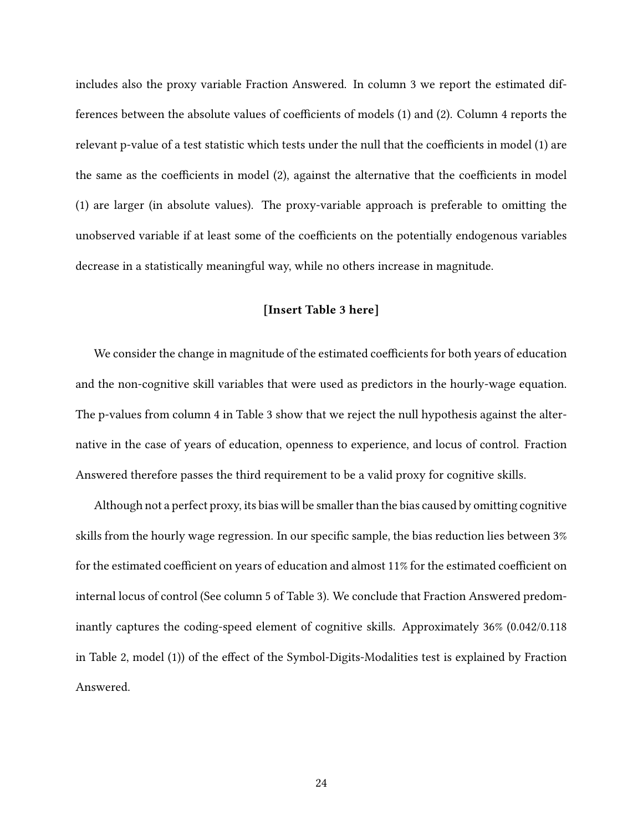includes also the proxy variable Fraction Answered. In column 3 we report the estimated differences between the absolute values of coefficients of models (1) and (2). Column 4 reports the relevant p-value of a test statistic which tests under the null that the coefficients in model (1) are the same as the coefficients in model (2), against the alternative that the coefficients in model (1) are larger (in absolute values). The proxy-variable approach is preferable to omitting the unobserved variable if at least some of the coefficients on the potentially endogenous variables decrease in a statistically meaningful way, while no others increase in magnitude.

#### **[Insert Table 3 here]**

We consider the change in magnitude of the estimated coefficients for both years of education and the non-cognitive skill variables that were used as predictors in the hourly-wage equation. The p-values from column 4 in Table 3 show that we reject the null hypothesis against the alternative in the case of years of education, openness to experience, and locus of control. Fraction Answered therefore passes the third requirement to be a valid proxy for cognitive skills.

Although not a perfect proxy, its bias will be smaller than the bias caused by omitting cognitive skills from the hourly wage regression. In our specific sample, the bias reduction lies between 3% for the estimated coefficient on years of education and almost 11% for the estimated coefficient on internal locus of control (See column 5 of Table 3). We conclude that Fraction Answered predominantly captures the coding-speed element of cognitive skills. Approximately 36% (0.042/0.118 in Table 2, model (1)) of the effect of the Symbol-Digits-Modalities test is explained by Fraction Answered.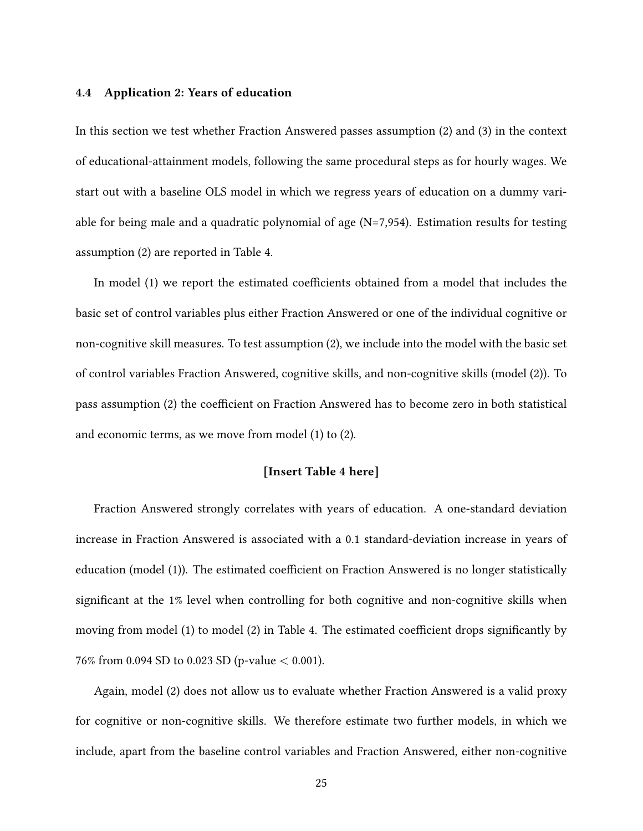#### **4.4 Application 2: Years of education**

In this section we test whether Fraction Answered passes assumption (2) and (3) in the context of educational-attainment models, following the same procedural steps as for hourly wages. We start out with a baseline OLS model in which we regress years of education on a dummy variable for being male and a quadratic polynomial of age (N=7,954). Estimation results for testing assumption (2) are reported in Table 4.

In model (1) we report the estimated coefficients obtained from a model that includes the basic set of control variables plus either Fraction Answered or one of the individual cognitive or non-cognitive skill measures. To test assumption (2), we include into the model with the basic set of control variables Fraction Answered, cognitive skills, and non-cognitive skills (model (2)). To pass assumption (2) the coefficient on Fraction Answered has to become zero in both statistical and economic terms, as we move from model (1) to (2).

#### **[Insert Table 4 here]**

Fraction Answered strongly correlates with years of education. A one-standard deviation increase in Fraction Answered is associated with a 0.1 standard-deviation increase in years of education (model (1)). The estimated coefficient on Fraction Answered is no longer statistically significant at the 1% level when controlling for both cognitive and non-cognitive skills when moving from model (1) to model (2) in Table 4. The estimated coefficient drops significantly by 76% from 0.094 SD to 0.023 SD (p-value < 0.001).

Again, model (2) does not allow us to evaluate whether Fraction Answered is a valid proxy for cognitive or non-cognitive skills. We therefore estimate two further models, in which we include, apart from the baseline control variables and Fraction Answered, either non-cognitive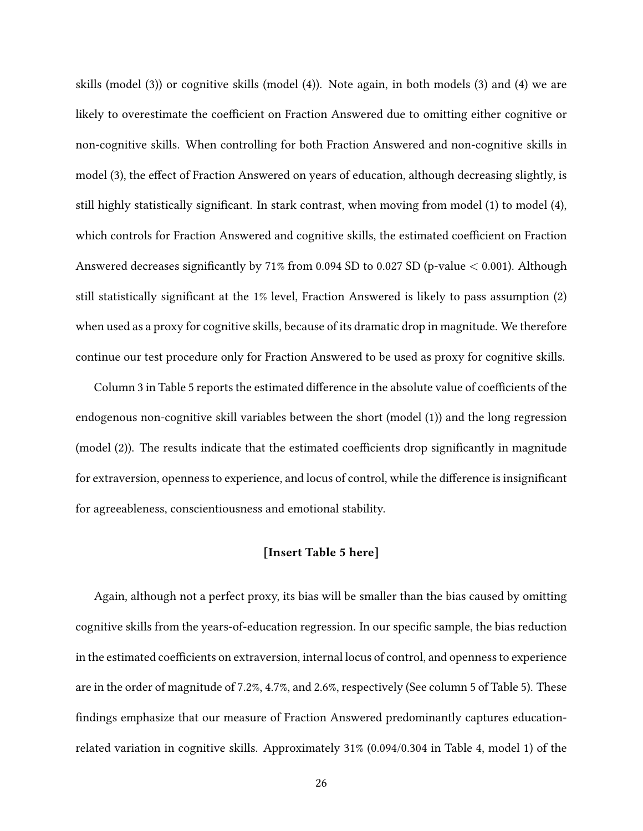skills (model (3)) or cognitive skills (model (4)). Note again, in both models (3) and (4) we are likely to overestimate the coefficient on Fraction Answered due to omitting either cognitive or non-cognitive skills. When controlling for both Fraction Answered and non-cognitive skills in model (3), the effect of Fraction Answered on years of education, although decreasing slightly, is still highly statistically significant. In stark contrast, when moving from model (1) to model (4), which controls for Fraction Answered and cognitive skills, the estimated coefficient on Fraction Answered decreases significantly by 71% from 0.094 SD to 0.027 SD (p-value < 0.001). Although still statistically significant at the 1% level, Fraction Answered is likely to pass assumption (2) when used as a proxy for cognitive skills, because of its dramatic drop in magnitude. We therefore continue our test procedure only for Fraction Answered to be used as proxy for cognitive skills.

Column 3 in Table 5 reports the estimated difference in the absolute value of coefficients of the endogenous non-cognitive skill variables between the short (model (1)) and the long regression (model (2)). The results indicate that the estimated coefficients drop significantly in magnitude for extraversion, openness to experience, and locus of control, while the difference is insignificant for agreeableness, conscientiousness and emotional stability.

#### **[Insert Table 5 here]**

Again, although not a perfect proxy, its bias will be smaller than the bias caused by omitting cognitive skills from the years-of-education regression. In our specific sample, the bias reduction in the estimated coefficients on extraversion, internal locus of control, and openness to experience are in the order of magnitude of 7.2%, 4.7%, and 2.6%, respectively (See column 5 of Table 5). These findings emphasize that our measure of Fraction Answered predominantly captures educationrelated variation in cognitive skills. Approximately 31% (0.094/0.304 in Table 4, model 1) of the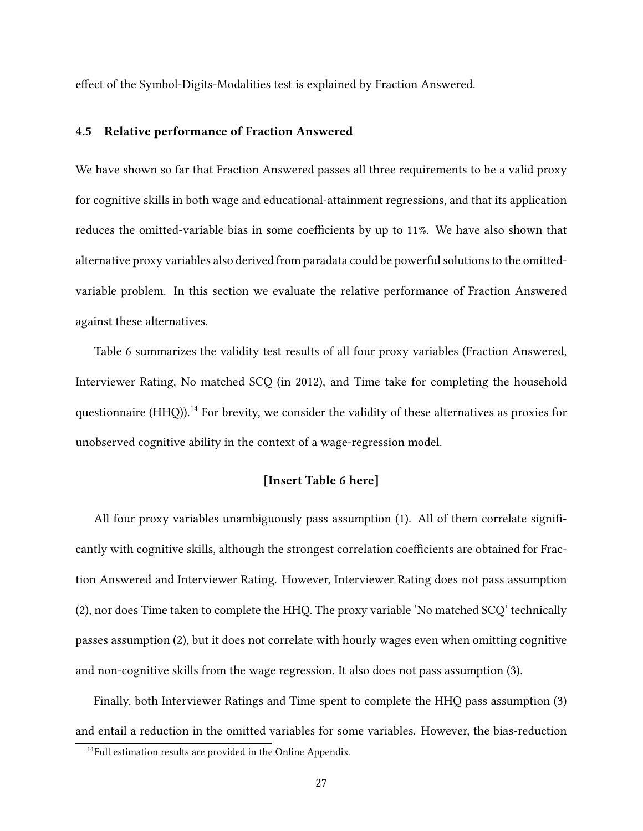effect of the Symbol-Digits-Modalities test is explained by Fraction Answered.

#### **4.5 Relative performance of Fraction Answered**

We have shown so far that Fraction Answered passes all three requirements to be a valid proxy for cognitive skills in both wage and educational-attainment regressions, and that its application reduces the omitted-variable bias in some coefficients by up to 11%. We have also shown that alternative proxy variables also derived from paradata could be powerful solutions to the omittedvariable problem. In this section we evaluate the relative performance of Fraction Answered against these alternatives.

Table 6 summarizes the validity test results of all four proxy variables (Fraction Answered, Interviewer Rating, No matched SCQ (in 2012), and Time take for completing the household questionnaire  $(HHO)$ ).<sup>14</sup> For brevity, we consider the validity of these alternatives as proxies for unobserved cognitive ability in the context of a wage-regression model.

#### **[Insert Table 6 here]**

All four proxy variables unambiguously pass assumption (1). All of them correlate significantly with cognitive skills, although the strongest correlation coefficients are obtained for Fraction Answered and Interviewer Rating. However, Interviewer Rating does not pass assumption (2), nor does Time taken to complete the HHQ. The proxy variable 'No matched SCQ' technically passes assumption (2), but it does not correlate with hourly wages even when omitting cognitive and non-cognitive skills from the wage regression. It also does not pass assumption (3).

Finally, both Interviewer Ratings and Time spent to complete the HHQ pass assumption (3) and entail a reduction in the omitted variables for some variables. However, the bias-reduction

<sup>&</sup>lt;sup>14</sup>Full estimation results are provided in the Online Appendix.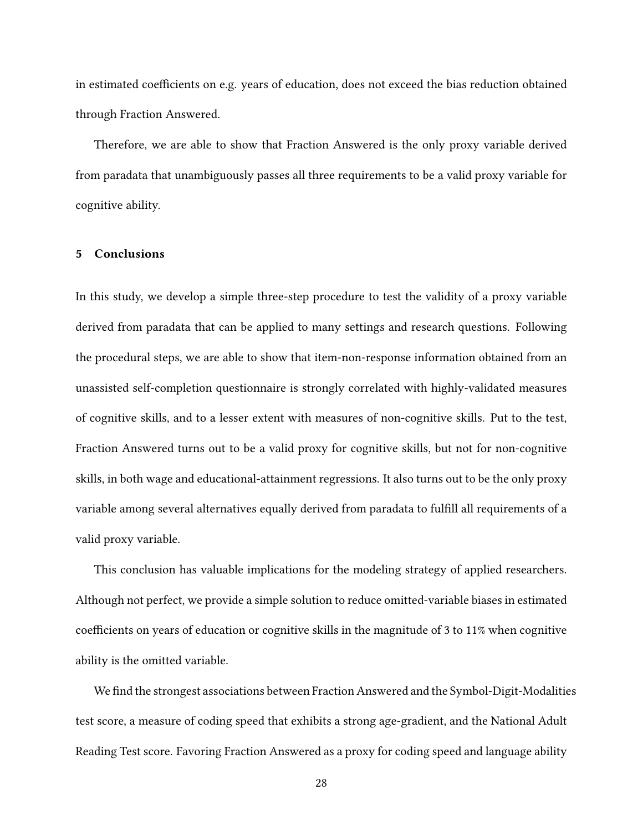in estimated coefficients on e.g. years of education, does not exceed the bias reduction obtained through Fraction Answered.

Therefore, we are able to show that Fraction Answered is the only proxy variable derived from paradata that unambiguously passes all three requirements to be a valid proxy variable for cognitive ability.

#### **5 Conclusions**

In this study, we develop a simple three-step procedure to test the validity of a proxy variable derived from paradata that can be applied to many settings and research questions. Following the procedural steps, we are able to show that item-non-response information obtained from an unassisted self-completion questionnaire is strongly correlated with highly-validated measures of cognitive skills, and to a lesser extent with measures of non-cognitive skills. Put to the test, Fraction Answered turns out to be a valid proxy for cognitive skills, but not for non-cognitive skills, in both wage and educational-attainment regressions. It also turns out to be the only proxy variable among several alternatives equally derived from paradata to fulfill all requirements of a valid proxy variable.

This conclusion has valuable implications for the modeling strategy of applied researchers. Although not perfect, we provide a simple solution to reduce omitted-variable biases in estimated coefficients on years of education or cognitive skills in the magnitude of 3 to 11% when cognitive ability is the omitted variable.

We find the strongest associations between Fraction Answered and the Symbol-Digit-Modalities test score, a measure of coding speed that exhibits a strong age-gradient, and the National Adult Reading Test score. Favoring Fraction Answered as a proxy for coding speed and language ability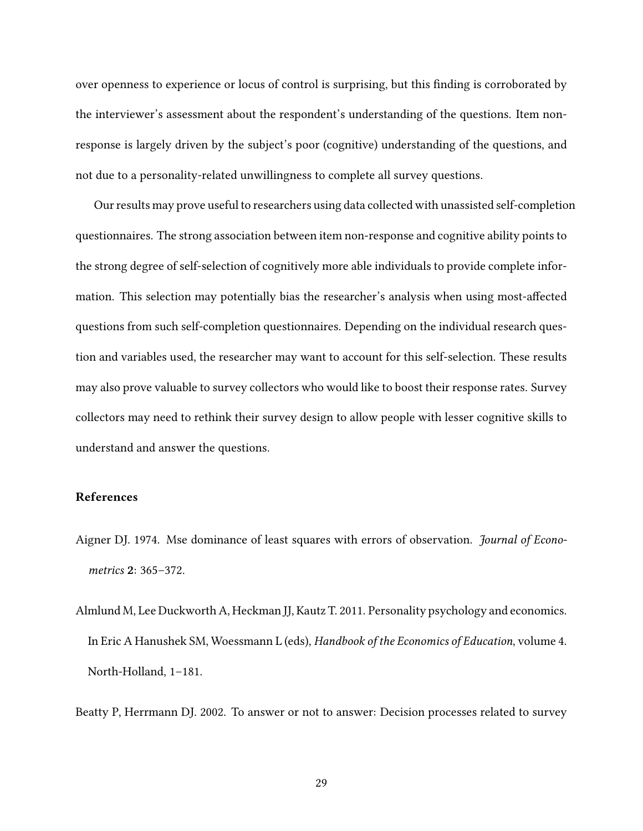over openness to experience or locus of control is surprising, but this finding is corroborated by the interviewer's assessment about the respondent's understanding of the questions. Item nonresponse is largely driven by the subject's poor (cognitive) understanding of the questions, and not due to a personality-related unwillingness to complete all survey questions.

Our results may prove useful to researchers using data collected with unassisted self-completion questionnaires. The strong association between item non-response and cognitive ability points to the strong degree of self-selection of cognitively more able individuals to provide complete information. This selection may potentially bias the researcher's analysis when using most-affected questions from such self-completion questionnaires. Depending on the individual research question and variables used, the researcher may want to account for this self-selection. These results may also prove valuable to survey collectors who would like to boost their response rates. Survey collectors may need to rethink their survey design to allow people with lesser cognitive skills to understand and answer the questions.

#### **References**

- Aigner DJ. 1974. Mse dominance of least squares with errors of observation. *Journal of Econometrics* **2**: 365–372.
- Almlund M, Lee Duckworth A, Heckman JJ, Kautz T. 2011. Personality psychology and economics. In Eric A Hanushek SM, Woessmann L (eds), *Handbook of the Economics of Education*, volume 4. North-Holland, 1–181.

Beatty P, Herrmann DJ. 2002. To answer or not to answer: Decision processes related to survey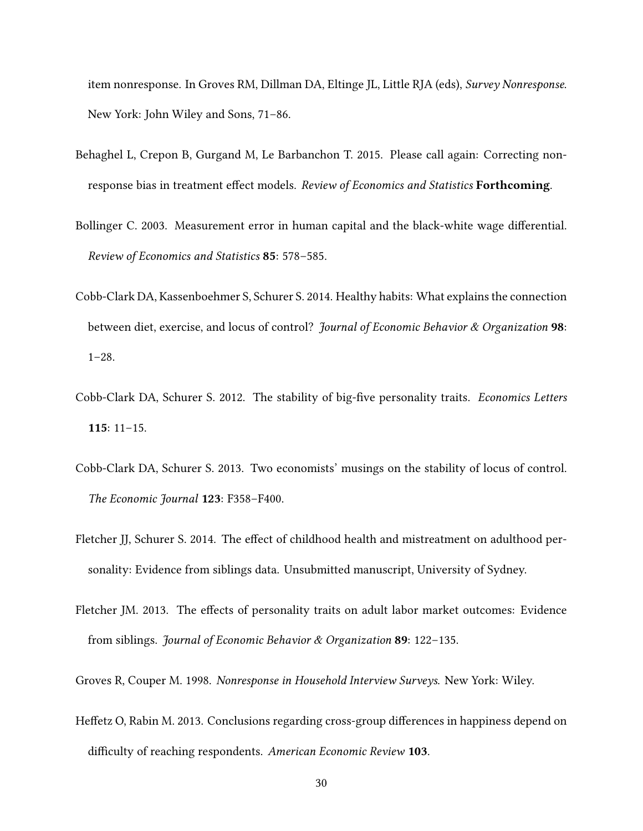item nonresponse. In Groves RM, Dillman DA, Eltinge JL, Little RJA (eds), *Survey Nonresponse*. New York: John Wiley and Sons, 71–86.

- Behaghel L, Crepon B, Gurgand M, Le Barbanchon T. 2015. Please call again: Correcting nonresponse bias in treatment effect models. *Review of Economics and Statistics* **Forthcoming**.
- Bollinger C. 2003. Measurement error in human capital and the black-white wage differential. *Review of Economics and Statistics* **85**: 578–585.
- Cobb-Clark DA, Kassenboehmer S, Schurer S. 2014. Healthy habits: What explains the connection between diet, exercise, and locus of control? *Journal of Economic Behavior & Organization* **98**: 1–28.
- Cobb-Clark DA, Schurer S. 2012. The stability of big-five personality traits. *Economics Letters* **115**: 11–15.
- Cobb-Clark DA, Schurer S. 2013. Two economists' musings on the stability of locus of control. *The Economic Journal* **123**: F358–F400.
- Fletcher JJ, Schurer S. 2014. The effect of childhood health and mistreatment on adulthood personality: Evidence from siblings data. Unsubmitted manuscript, University of Sydney.
- Fletcher JM. 2013. The effects of personality traits on adult labor market outcomes: Evidence from siblings. *Journal of Economic Behavior & Organization* **89**: 122–135.
- Groves R, Couper M. 1998. *Nonresponse in Household Interview Surveys*. New York: Wiley.
- Heffetz O, Rabin M. 2013. Conclusions regarding cross-group differences in happiness depend on difficulty of reaching respondents. *American Economic Review* **103**.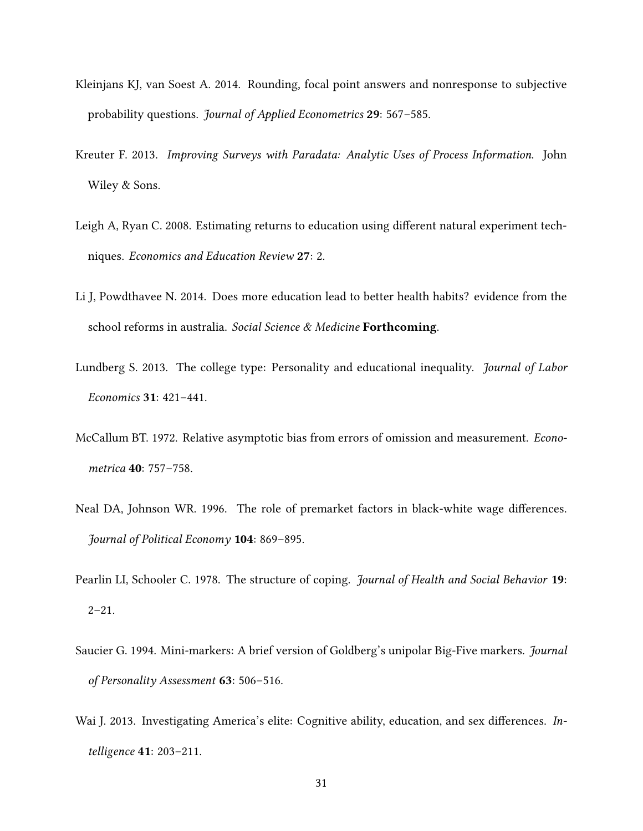- Kleinjans KJ, van Soest A. 2014. Rounding, focal point answers and nonresponse to subjective probability questions. *Journal of Applied Econometrics* **29**: 567–585.
- Kreuter F. 2013. *Improving Surveys with Paradata: Analytic Uses of Process Information*. John Wiley & Sons.
- Leigh A, Ryan C. 2008. Estimating returns to education using different natural experiment techniques. *Economics and Education Review* **27**: 2.
- Li J, Powdthavee N. 2014. Does more education lead to better health habits? evidence from the school reforms in australia. *Social Science & Medicine* **Forthcoming**.
- Lundberg S. 2013. The college type: Personality and educational inequality. *Journal of Labor Economics* **31**: 421–441.
- McCallum BT. 1972. Relative asymptotic bias from errors of omission and measurement. *Econometrica* **40**: 757–758.
- Neal DA, Johnson WR. 1996. The role of premarket factors in black-white wage differences. *Journal of Political Economy* **104**: 869–895.
- Pearlin LI, Schooler C. 1978. The structure of coping. *Journal of Health and Social Behavior* **19**:  $2 - 21$ .
- Saucier G. 1994. Mini-markers: A brief version of Goldberg's unipolar Big-Five markers. *Journal of Personality Assessment* **63**: 506–516.
- Wai J. 2013. Investigating America's elite: Cognitive ability, education, and sex differences. *Intelligence* **41**: 203–211.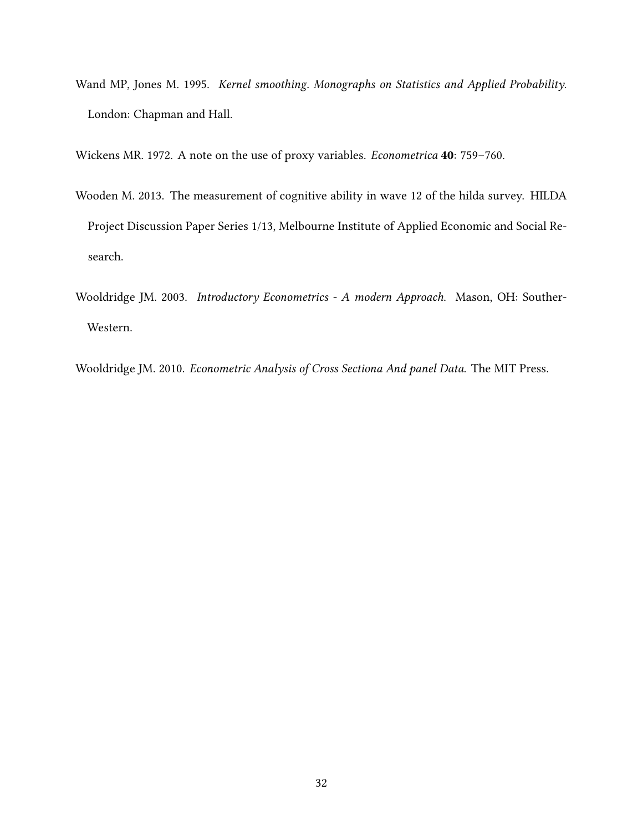Wand MP, Jones M. 1995. *Kernel smoothing. Monographs on Statistics and Applied Probability*. London: Chapman and Hall.

Wickens MR. 1972. A note on the use of proxy variables. *Econometrica* **40**: 759–760.

- Wooden M. 2013. The measurement of cognitive ability in wave 12 of the hilda survey. HILDA Project Discussion Paper Series 1/13, Melbourne Institute of Applied Economic and Social Research.
- Wooldridge JM. 2003. *Introductory Econometrics A modern Approach*. Mason, OH: Souther-Western.

Wooldridge JM. 2010. *Econometric Analysis of Cross Sectiona And panel Data*. The MIT Press.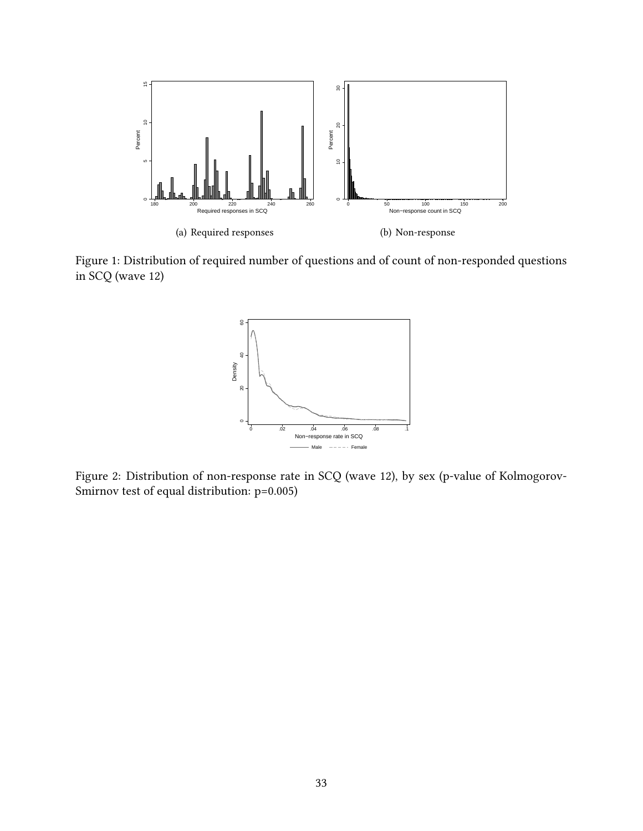

Figure 1: Distribution of required number of questions and of count of non-responded questions in SCQ (wave 12)



Figure 2: Distribution of non-response rate in SCQ (wave 12), by sex (p-value of Kolmogorov-Smirnov test of equal distribution: p=0.005)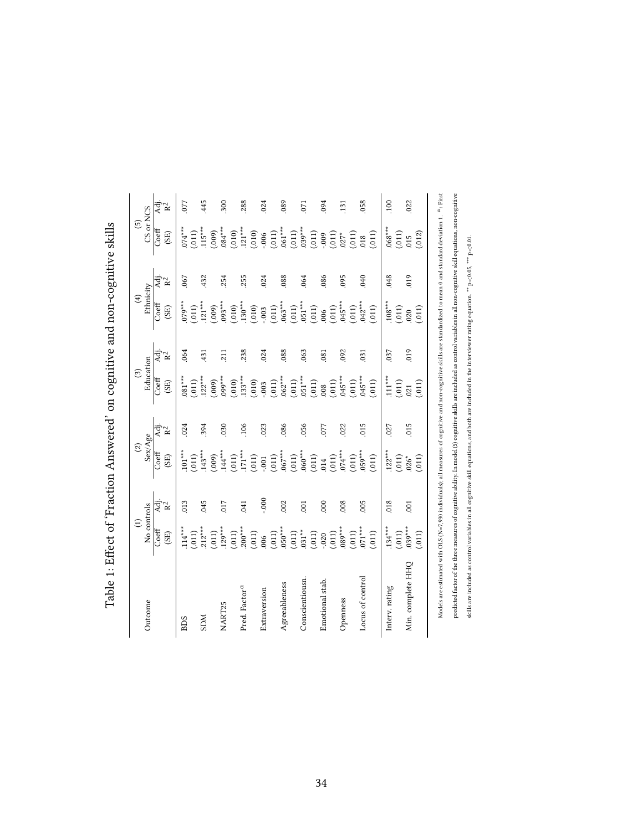| $\mathbf{I}$<br>١<br>ا<br>ا     |
|---------------------------------|
| į                               |
| <br> <br> <br>                  |
| י<br>נ                          |
| シー・ソーショー<br>くちく しんりょう こうしょう しゅう |
| i<br>I                          |
| $\mathbf{S}$                    |
| $\frac{1}{2}$<br>۶<br>آ         |
| i<br>I                          |

|                           | $\widehat{\Xi}$        |                | $\widehat{c}$ |      | $\odot$                   |       | $\bigoplus$ |                 | $\overline{5}$   |            |
|---------------------------|------------------------|----------------|---------------|------|---------------------------|-------|-------------|-----------------|------------------|------------|
| Outcome                   | No controls            |                | Sex/Age       |      | Education                 |       | Ethnicity   |                 | CS or NCS        |            |
|                           | Coeff                  | .<br>∢तुं      | Coeff         | Äj.  | Coeff                     | Adj.  | Coeff       | .<br>सर्वे<br>R | $\mathrm{Coeff}$ | Adj.       |
|                           | $\overline{\text{SE}}$ | R <sup>2</sup> | (SE)          | Ř    | $\left( \text{SE}\right)$ | $R^2$ | (SE)        |                 | (SE)             | $R^2$      |
| <b>BIDS</b>               | $.114***$              | 013            | $.101***$     | .024 | $.081***$                 | 064   | $079***$    | 067             | $074***$         | 077        |
|                           | (.011)                 |                | (.011)        |      | (.011)                    |       | (.011)      |                 | (.011)           |            |
| <b>MCS</b>                | $212***$               | 045            | $143***$      | 394  | $122***$                  | 431   | $121***$    | 432             | $.115***$        | 445        |
|                           | (.011)                 |                | (000)         |      | (000)                     |       | (000)       |                 | (.009)           |            |
| NART25                    | $129***$               | 017            | $144***$      | 030  | *** 660                   | 211   | $.093***$   | 254             | $.084***$        | 300        |
|                           | (011)                  |                | (011)         |      | (010)                     |       | (.010)      |                 | (.010)           |            |
| Pred. Factor <sup>d</sup> | $200***$               | 041            | $171***$      | .106 | $133***$                  | 238   | $.130***$   | 255             | $.121***$        | 288        |
|                           | (.011)                 |                | (.011)        |      | (010)                     |       | (010)       |                 | (.010)           |            |
| Extraversion              | 006                    | 000.           | $000$ .       | .023 | .003                      | 024   | $-0.003$    | .024            | $-0.006$         | 024        |
|                           | (.011)                 |                | (011)         |      | (011)                     |       | (011)       |                 | (.011)           |            |
| Agreeableness             | $.050***$              | 002            | $.067***$     | 086  | $.062***$                 | .088  | $.063***$   | 088             | $0.061***$       | 089        |
|                           | (.011)                 |                | (.011)        |      | (011)                     |       | (011)       |                 | (.011)           |            |
| Conscientiousn            | $.031***$              | .001           | $.060***$     | 056  | $.051***$                 | .063  | $.051***$   | .064            | $.039***$        | 071        |
|                           | (.011)                 |                | (011)         |      | (011)                     |       | (011)       |                 | (.011)           |            |
| Emotional stab.           | $-0.020$               | 000            | 014           | 077  | 008                       | .081  | 006         | 086             | $000$ .          | 094        |
|                           | (.011)                 |                | (.011)        |      | (.011)                    |       | (011)       |                 | (011)            |            |
| Openness                  | $089***$               | 008            | $.074***$     | 022  | $.045***$                 | .092  | $.045***$   | .095            | $027*$           | <b>131</b> |
|                           | (.011)                 |                | (.011)        |      | (011)                     |       | (011)       |                 | (011)            |            |
| Locus of control          | $.071***$              | 005            | $059***$      | 015  | $.045***$                 | 031   | $.042***$   | 040             | 018              | 058        |
|                           | (.011)                 |                | (.011)        |      | (.011)                    |       | (011)       |                 | (.011)           |            |
| Interv. rating            | $.134***$              | 018            | $.122***$     | 027  | $.111***$                 | 037   | $.108***$   | 048             | $.068***$        | 100        |
|                           | (.011)                 |                | (.011)        |      | (011)                     |       | (011)       |                 | (.011)           |            |
| Min. complete HHQ         | $039***$               | 001            | $026*$        | 015  | 021                       | 019   | 020         | 019             | 015              | 022        |
|                           | (011)                  |                | (11)          |      | (011)                     |       | (011)       |                 | (012)            |            |

Models are estimated with OLS (N=7,930 individuals); all measures of cognitive and non-cognitive skills are standardized to mean 0 and standard deviation 1. a: First predicted factor of the three measures of cognitive ability. In model (5) cognitive skills are included as control variables in all non-cognitive skill equations, non-cognitive

predicted factor of the three measures of cognitive ability. In model (5) cognitive skills are included as control variables in all non-cognitive skill equations, non-cognitive

skills are included as control variables in all cognitive skill equations, and both are included in the interviewer rating equation. \*\* p<0.05, \*\*\* p<0.01.

skills are included as control variables in all cognitive skill equations, and both are induded in the interviewer rating equation. \*\* p<0.05, \*\* p<0.01.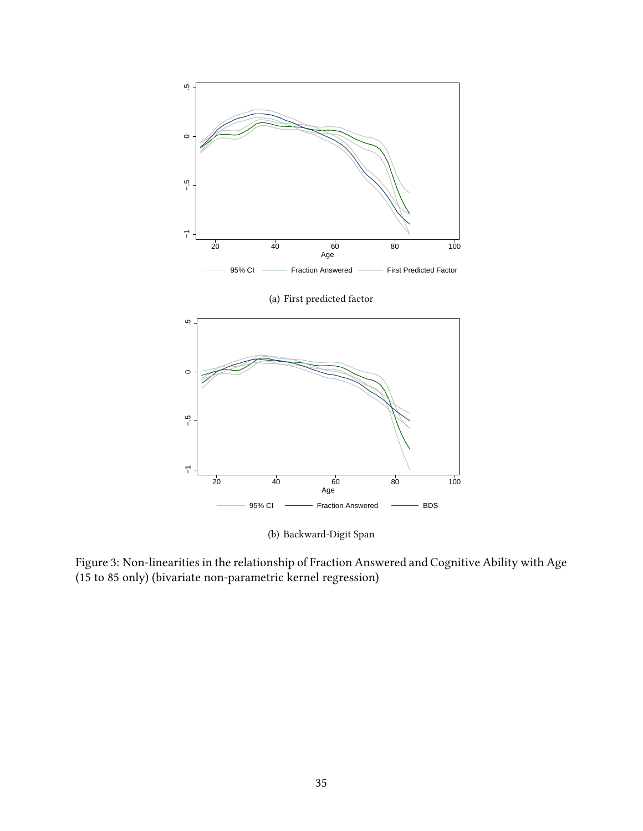

Figure 3: Non-linearities in the relationship of Fraction Answered and Cognitive Ability with Age (15 to 85 only) (bivariate non-parametric kernel regression)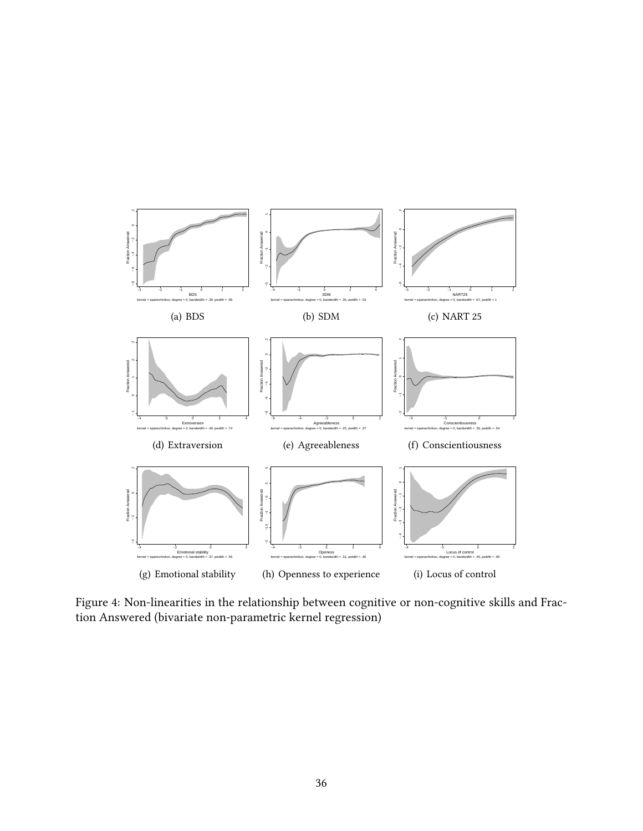

Figure 4: Non-linearities in the relationship between cognitive or non-cognitive skills and Fraction Answered (bivariate non-parametric kernel regression)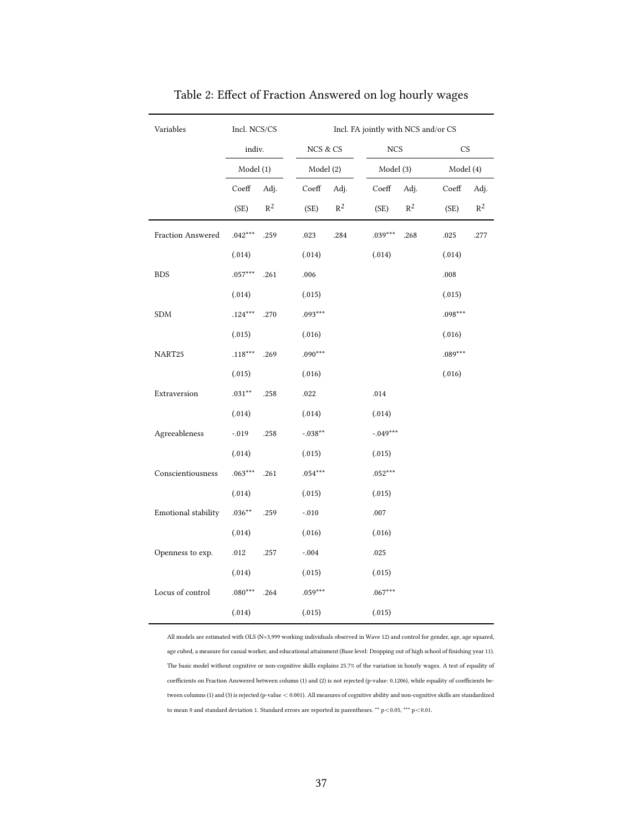| Variables           | Incl. NCS/CS        |                |           |                |                  | Incl. FA jointly with NCS and/or CS |                        |       |
|---------------------|---------------------|----------------|-----------|----------------|------------------|-------------------------------------|------------------------|-------|
|                     | indiv.              |                | NCS & CS  |                | <b>NCS</b>       |                                     | $\mathbb{C}\mathsf{S}$ |       |
|                     | Model (1)           |                | Model (2) |                | Model (3)        |                                     | Model (4)              |       |
|                     | Coeff               | Adj.           | Coeff     | Adj.           | $\mathrm{Coeff}$ | Adj.                                | $\mathrm{Coeff}$       | Adj.  |
|                     | (SE)                | $\mathbb{R}^2$ | (SE)      | $\mathbb{R}^2$ | (SE)             | $\mathbb{R}^2$                      | (SE)                   | $R^2$ |
| Fraction Answered   | $.042***$           | .259           | .023      | .284           | $.039***$        | .268                                | .025                   | .277  |
|                     | (.014)              |                | (.014)    |                | (.014)           |                                     | (.014)                 |       |
| <b>BDS</b>          | $.057***$           | .261           | .006      |                |                  |                                     | .008                   |       |
|                     | (.014)              |                | (.015)    |                |                  |                                     | (.015)                 |       |
| <b>SDM</b>          | $.124***$           | .270           | $.093***$ |                |                  |                                     | $.098***$              |       |
|                     | (.015)              |                | (.016)    |                |                  |                                     | (.016)                 |       |
| NART25              | $.118***$           | .269           | $.090***$ |                |                  |                                     | $.089***$              |       |
|                     | (.015)              |                | (.016)    |                |                  |                                     | (.016)                 |       |
| Extraversion        | $.031^{\star\star}$ | .258           | .022      |                | .014             |                                     |                        |       |
|                     | (.014)              |                | (.014)    |                | (.014)           |                                     |                        |       |
| Agreeableness       | $-.019$             | .258           | $-.038**$ |                | $-.049***$       |                                     |                        |       |
|                     | (.014)              |                | (.015)    |                | (.015)           |                                     |                        |       |
| Conscientiousness   | $.063***$           | .261           | $.054***$ |                | $.052***$        |                                     |                        |       |
|                     | (.014)              |                | (.015)    |                | (.015)           |                                     |                        |       |
| Emotional stability | $.036**$            | .259           | $-.010$   |                | .007             |                                     |                        |       |
|                     | (.014)              |                | (.016)    |                | (.016)           |                                     |                        |       |
| Openness to exp.    | .012                | .257           | $-.004$   |                | .025             |                                     |                        |       |
|                     | (.014)              |                | (.015)    |                | (.015)           |                                     |                        |       |
| Locus of control    | $.080***$           | .264           | $.059***$ |                | $.067***$        |                                     |                        |       |
|                     | (.014)              |                | (.015)    |                | (.015)           |                                     |                        |       |

Table 2: Effect of Fraction Answered on log hourly wages

All models are estimated with OLS (N=3,999 working individuals observed in Wave 12) and control for gender, age, age squared, age cubed, a measure for casual worker, and educational attainment (Base level: Dropping out of high school of finishing year 11). The basic model without cognitive or non-cognitive skills explains 25.7% of the variation in hourly wages. A test of equality of coefficients on Fraction Answered between column (1) and (2) is not rejected (p-value: 0.1206), while equality of coefficients between columns (1) and (3) is rejected (p-value < 0.001). All measures of cognitive ability and non-cognitive skills are standardized to mean 0 and standard deviation 1. Standard errors are reported in parentheses. \*\* p<0.05, \*\*\* p<0.01.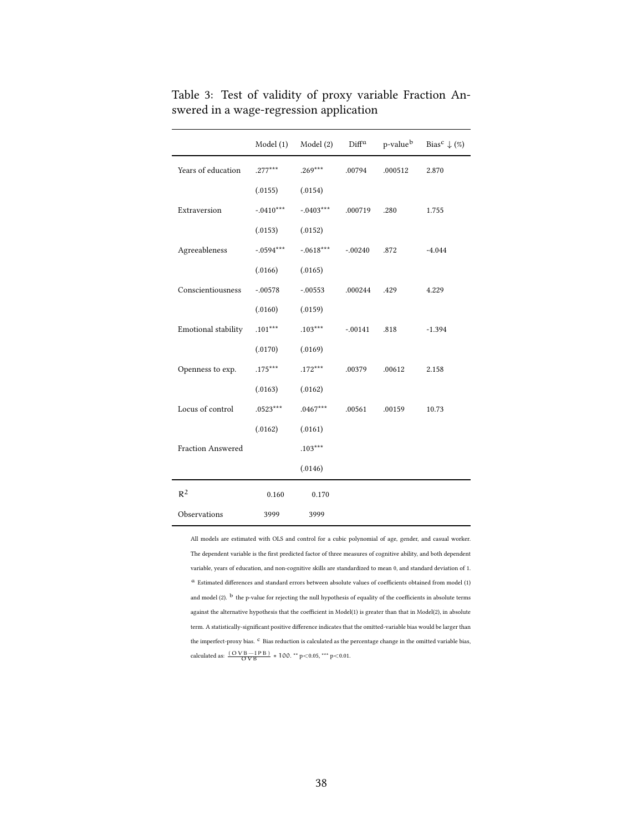|                     | Model (1)   | Model (2)   | Diff <sup>a</sup> | p-value <sup>b</sup> | Bias <sup>c</sup> $\downarrow$ (%) |
|---------------------|-------------|-------------|-------------------|----------------------|------------------------------------|
| Years of education  | $.277***$   | $.269***$   | .00794            | .000512              | 2.870                              |
|                     | (.0155)     | (.0154)     |                   |                      |                                    |
| Extraversion        | $-.0410***$ | $-.0403***$ | .000719           | .280                 | 1.755                              |
|                     | (.0153)     | (.0152)     |                   |                      |                                    |
| Agreeableness       | $-.0594***$ | $-.0618***$ | $-.00240$         | .872                 | $-4.044$                           |
|                     | (.0166)     | (.0165)     |                   |                      |                                    |
| Conscientiousness   | $-.00578$   | $-.00553$   | .000244           | .429                 | 4.229                              |
|                     | (.0160)     | (.0159)     |                   |                      |                                    |
| Emotional stability | $.101***$   | $.103***$   | $-.00141$         | .818                 | $-1.394$                           |
|                     | (.0170)     | (.0169)     |                   |                      |                                    |
| Openness to exp.    | $.175***$   | $.172***$   | .00379            | .00612               | 2.158                              |
|                     | (.0163)     | (.0162)     |                   |                      |                                    |
| Locus of control    | $.0523***$  | $.0467***$  | .00561            | .00159               | 10.73                              |
|                     | (.0162)     | (.0161)     |                   |                      |                                    |
| Fraction Answered   |             | $.103***$   |                   |                      |                                    |
|                     |             | (.0146)     |                   |                      |                                    |
| $R^2$               | 0.160       | 0.170       |                   |                      |                                    |
| Observations        | 3999        | 3999        |                   |                      |                                    |

Table 3: Test of validity of proxy variable Fraction Answered in a wage-regression application

All models are estimated with OLS and control for a cubic polynomial of age, gender, and casual worker. The dependent variable is the first predicted factor of three measures of cognitive ability, and both dependent variable, years of education, and non-cognitive skills are standardized to mean 0, and standard deviation of 1. <sup>a</sup> Estimated differences and standard errors between absolute values of coefficients obtained from model (1) and model (2).  $^{\rm b}$  the p-value for rejecting the null hypothesis of equality of the coefficients in absolute terms against the alternative hypothesis that the coefficient in Model(1) is greater than that in Model(2), in absolute term. A statistically-significant positive difference indicates that the omitted-variable bias would be larger than the imperfect-proxy bias.  $\emph{c}$  Bias reduction is calculated as the percentage change in the omitted variable bias, calculated as:  $\frac{(OVB - IPB)}{OVB} * 100.$  \*\* p<0.05, \*\*\* p<0.01.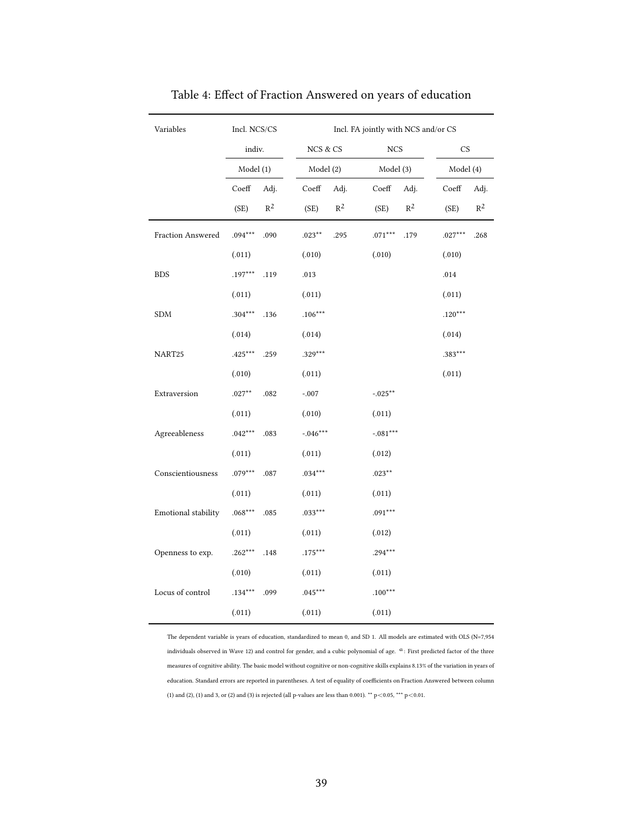| Variables            | Incl. NCS/CS      |                        | Incl. FA jointly with NCS and/or CS |                   |
|----------------------|-------------------|------------------------|-------------------------------------|-------------------|
|                      | indiv.            | NCS & CS               | $_{\mathrm{NCS}}$                   | <b>CS</b>         |
|                      | Model (1)         | Model (2)              | Model (3)                           | Model (4)         |
|                      | Coeff<br>Adj.     | Coeff<br>Adj.          | $\mathrm{Coeff}$<br>Adj.            | Coeff<br>Adj.     |
|                      | $R^2$<br>(SE)     | $\mathbb{R}^2$<br>(SE) | $\mathbb{R}^2$<br>(SE)              | $R^2$<br>(SE)     |
| Fraction Answered    | $.094***$<br>.090 | $.023***$<br>.295      | $.071***$<br>.179                   | $.027***$<br>.268 |
|                      | (.011)            | (.010)                 | (.010)                              | (.010)            |
| <b>BDS</b>           | $.197***$<br>.119 | .013                   |                                     | .014              |
|                      | (.011)            | (.011)                 |                                     | (.011)            |
| $\operatorname{SDM}$ | $.304***$<br>.136 | $.106***$              |                                     | $.120***$         |
|                      | (.014)            | (.014)                 |                                     | (.014)            |
| NART25               | $.425***$<br>.259 | $.329***$              |                                     | .383***           |
|                      | (.010)            | (.011)                 |                                     | (.011)            |
| Extraversion         | $.027**$<br>.082  | $-.007$                | $-.025***$                          |                   |
|                      | (.011)            | (.010)                 | (.011)                              |                   |
| Agreeableness        | $.042***$<br>.083 | $-.046***$             | $-.081***$                          |                   |
|                      | (.011)            | (.011)                 | (.012)                              |                   |
| Conscientiousness    | $.079***$<br>.087 | $.034***$              | $.023***$                           |                   |
|                      | (.011)            | (.011)                 | (.011)                              |                   |
| Emotional stability  | $.068***$<br>.085 | $.033***$              | $.091***$                           |                   |
|                      | (.011)            | (.011)                 | (.012)                              |                   |
| Openness to exp.     | $.262***$<br>.148 | $.175***$              | $.294***$                           |                   |
|                      | (.010)            | (.011)                 | (.011)                              |                   |
| Locus of control     | $.134***$<br>.099 | $.045***$              | $.100***$                           |                   |
|                      | (.011)            | (.011)                 | (.011)                              |                   |

Table 4: Effect of Fraction Answered on years of education

The dependent variable is years of education, standardized to mean 0, and SD 1. All models are estimated with OLS (N=7,954 individuals observed in Wave 12) and control for gender, and a cubic polynomial of age.  $a$ : First predicted factor of the three measures of cognitive ability. The basic model without cognitive or non-cognitive skills explains 8.13% of the variation in years of education. Standard errors are reported in parentheses. A test of equality of coefficients on Fraction Answered between column (1) and (2), (1) and 3, or (2) and (3) is rejected (all p-values are less than 0.001).  $**$  p<0.05,  $***$  p<0.01.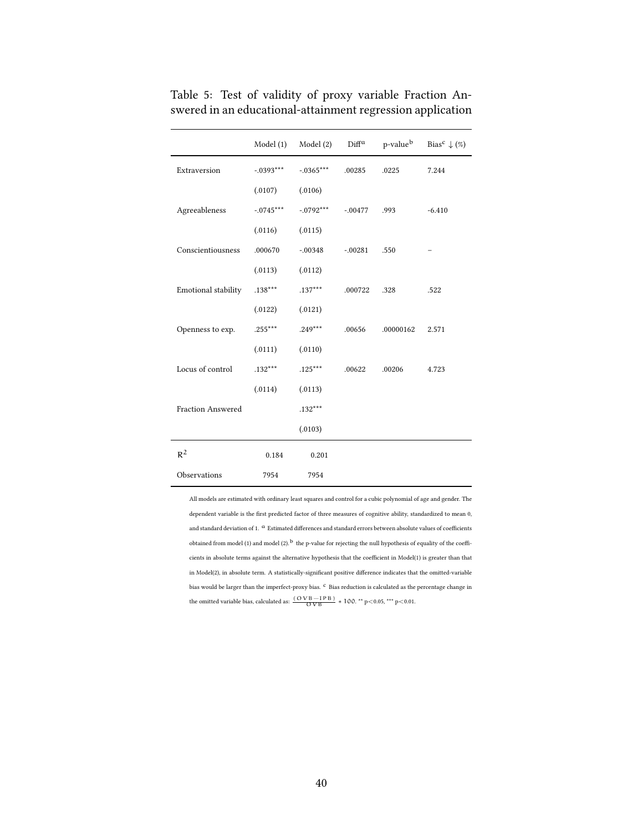|                          | Model (1)   | Model (2)   | $\rm{Diff}^a$ | p-value <sup>b</sup> | Bias <sup>c</sup> $\downarrow$ (%) |
|--------------------------|-------------|-------------|---------------|----------------------|------------------------------------|
| Extraversion             | $-.0393***$ | $-.0365***$ | .00285        | .0225                | 7.244                              |
|                          | (.0107)     | (.0106)     |               |                      |                                    |
| Agreeableness            | $-.0745***$ | $-.0792***$ | $-.00477$     | .993                 | $-6.410$                           |
|                          | (.0116)     | (.0115)     |               |                      |                                    |
| Conscientiousness        | .000670     | $-.00348$   | $-0.0281$     | .550                 |                                    |
|                          | (.0113)     | (.0112)     |               |                      |                                    |
| Emotional stability      | $.138***$   | $.137***$   | .000722       | .328                 | .522                               |
|                          | (.0122)     | (.0121)     |               |                      |                                    |
| Openness to exp.         | $.255***$   | $.249***$   | .00656        | .00000162            | 2.571                              |
|                          | (.0111)     | (.0110)     |               |                      |                                    |
| Locus of control         | $.132***$   | $.125***$   | .00622        | .00206               | 4.723                              |
|                          | (.0114)     | (.0113)     |               |                      |                                    |
| <b>Fraction Answered</b> |             | $.132***$   |               |                      |                                    |
|                          |             | (.0103)     |               |                      |                                    |
| $R^2$                    | 0.184       | 0.201       |               |                      |                                    |
| Observations             | 7954        | 7954        |               |                      |                                    |

Table 5: Test of validity of proxy variable Fraction Answered in an educational-attainment regression application

All models are estimated with ordinary least squares and control for a cubic polynomial of age and gender. The dependent variable is the first predicted factor of three measures of cognitive ability, standardized to mean 0, and standard deviation of 1.  $^{\rm \alpha}$  Estimated differences and standard errors between absolute values of coefficients obtained from model (1) and model (2).<sup>b</sup> the p-value for rejecting the null hypothesis of equality of the coefficients in absolute terms against the alternative hypothesis that the coefficient in Model(1) is greater than that in Model(2), in absolute term. A statistically-significant positive difference indicates that the omitted-variable bias would be larger than the imperfect-proxy bias.  $^{\rm c}$  Bias reduction is calculated as the percentage change in the omitted variable bias, calculated as:  $\frac{(OVB - IPB)}{OVB} * 100.$ <sup>\*\*</sup> p<0.05, <sup>\*\*\*</sup> p<0.01.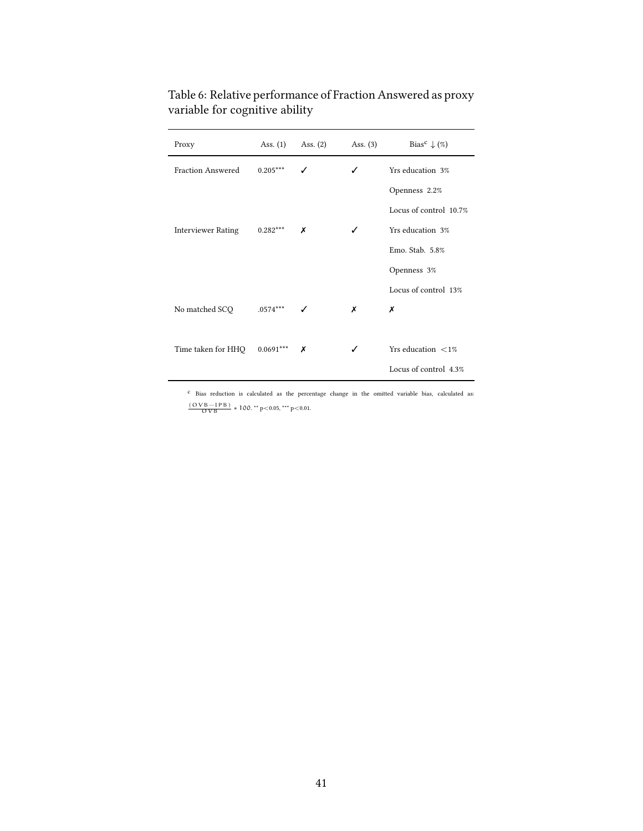| Proxy                     | Ass. $(1)$  | Ass. $(2)$ | Ass. $(3)$ | Bias <sup>c</sup> $\downarrow$ (%) |
|---------------------------|-------------|------------|------------|------------------------------------|
| <b>Fraction Answered</b>  | $0.205***$  |            | ✓          | Yrs education 3%                   |
|                           |             |            |            | Openness 2.2%                      |
|                           |             |            |            | Locus of control 10.7%             |
| <b>Interviewer Rating</b> | $0.282***$  | Х          | ✓          | Yrs education 3%                   |
|                           |             |            |            | Emo. Stab. 5.8%                    |
|                           |             |            |            | Openness 3%                        |
|                           |             |            |            | Locus of control 13%               |
| No matched SCQ            | $.0574***$  |            | х          | x                                  |
|                           |             |            |            |                                    |
| Time taken for HHQ        | $0.0691***$ | Х          | ✓          | Yrs education $\langle 1\%$        |
|                           |             |            |            | Locus of control 4.3%              |

Table 6: Relative performance of Fraction Answered as proxy variable for cognitive ability

 $\emph{c}$  Bias reduction is calculated as the percentage change in the omitted variable bias, calculated as: (OVB−IPB) OVB *∗* 100. \*\* p<0.05, \*\*\* p<0.01.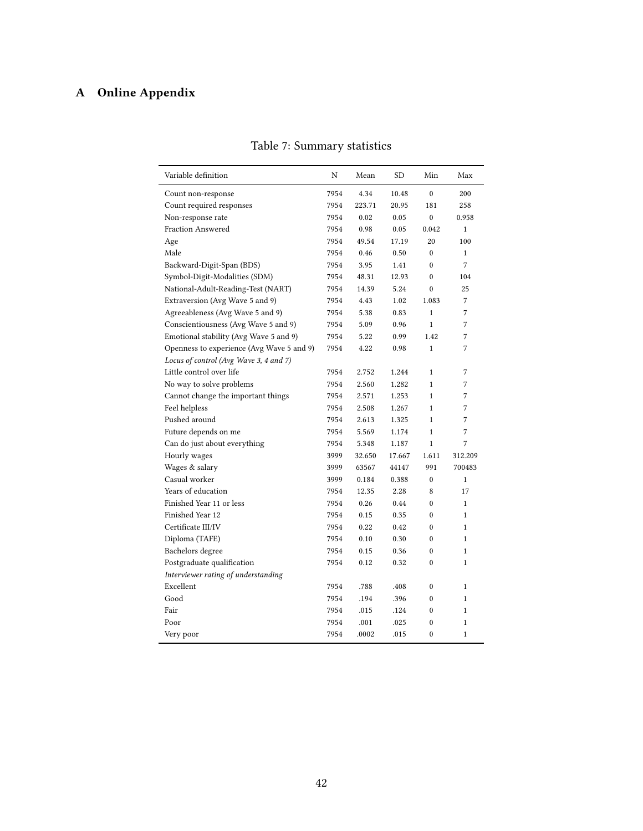## **A Online Appendix**

| Variable definition                       | N    | Mean   | <b>SD</b> | Min              | Max          |
|-------------------------------------------|------|--------|-----------|------------------|--------------|
| Count non-response                        | 7954 | 4.34   | 10.48     | $\Omega$         | 200          |
| Count required responses                  | 7954 | 223.71 | 20.95     | 181              | 258          |
| Non-response rate                         | 7954 | 0.02   | 0.05      | $\mathbf{0}$     | 0.958        |
| <b>Fraction Answered</b>                  | 7954 | 0.98   | 0.05      | 0.042            | $\mathbf{1}$ |
| Age                                       | 7954 | 49.54  | 17.19     | 20               | 100          |
| Male                                      | 7954 | 0.46   | 0.50      | $\mathbf{0}$     | $\mathbf{1}$ |
| Backward-Digit-Span (BDS)                 | 7954 | 3.95   | 1.41      | $\theta$         | 7            |
| Symbol-Digit-Modalities (SDM)             | 7954 | 48.31  | 12.93     | $\mathbf{0}$     | 104          |
| National-Adult-Reading-Test (NART)        | 7954 | 14.39  | 5.24      | $\theta$         | 25           |
| Extraversion (Avg Wave 5 and 9)           | 7954 | 4.43   | 1.02      | 1.083            | 7            |
| Agreeableness (Avg Wave 5 and 9)          | 7954 | 5.38   | 0.83      | $\mathbf{1}$     | 7            |
| Conscientiousness (Avg Wave 5 and 9)      | 7954 | 5.09   | 0.96      | $\mathbf{1}$     | 7            |
| Emotional stability (Avg Wave 5 and 9)    | 7954 | 5.22   | 0.99      | 1.42             | 7            |
| Openness to experience (Avg Wave 5 and 9) | 7954 | 4.22   | 0.98      | $\mathbf{1}$     | 7            |
| Locus of control (Avg Wave 3, 4 and 7)    |      |        |           |                  |              |
| Little control over life                  | 7954 | 2.752  | 1.244     | $\mathbf{1}$     | 7            |
| No way to solve problems                  | 7954 | 2.560  | 1.282     | $\mathbf{1}$     | 7            |
| Cannot change the important things        | 7954 | 2.571  | 1.253     | $\mathbf{1}$     | 7            |
| Feel helpless                             | 7954 | 2.508  | 1.267     | $\mathbf{1}$     | 7            |
| Pushed around                             | 7954 | 2.613  | 1.325     | $\mathbf{1}$     | 7            |
| Future depends on me                      | 7954 | 5.569  | 1.174     | $\mathbf{1}$     | 7            |
| Can do just about everything              | 7954 | 5.348  | 1.187     | $\mathbf{1}$     | 7            |
| Hourly wages                              | 3999 | 32.650 | 17.667    | 1.611            | 312.209      |
| Wages & salary                            | 3999 | 63567  | 44147     | 991              | 700483       |
| Casual worker                             | 3999 | 0.184  | 0.388     | $\mathbf{0}$     | $\mathbf{1}$ |
| Years of education                        | 7954 | 12.35  | 2.28      | 8                | 17           |
| Finished Year 11 or less                  | 7954 | 0.26   | 0.44      | $\Omega$         | $\mathbf{1}$ |
| Finished Year 12                          | 7954 | 0.15   | 0.35      | $\mathbf{0}$     | $\mathbf{1}$ |
| Certificate III/IV                        | 7954 | 0.22   | 0.42      | $\mathbf{0}$     | $\mathbf{1}$ |
| Diploma (TAFE)                            | 7954 | 0.10   | 0.30      | $\theta$         | $\mathbf{1}$ |
| Bachelors degree                          | 7954 | 0.15   | 0.36      | $\theta$         | $\mathbf{1}$ |
| Postgraduate qualification                | 7954 | 0.12   | 0.32      | $\mathbf{0}$     | $\mathbf{1}$ |
| Interviewer rating of understanding       |      |        |           |                  |              |
| Excellent                                 | 7954 | .788   | .408      | $\boldsymbol{0}$ | $\mathbf{1}$ |
| Good                                      | 7954 | .194   | .396      | $\boldsymbol{0}$ | $\mathbf{1}$ |
| Fair                                      | 7954 | .015   | .124      | $\boldsymbol{0}$ | $\mathbf{1}$ |
| Poor                                      | 7954 | .001   | .025      | $\mathbf{0}$     | $\mathbf{1}$ |
| Very poor                                 | 7954 | .0002  | .015      | $\theta$         | $\mathbf{1}$ |

### Table 7: Summary statistics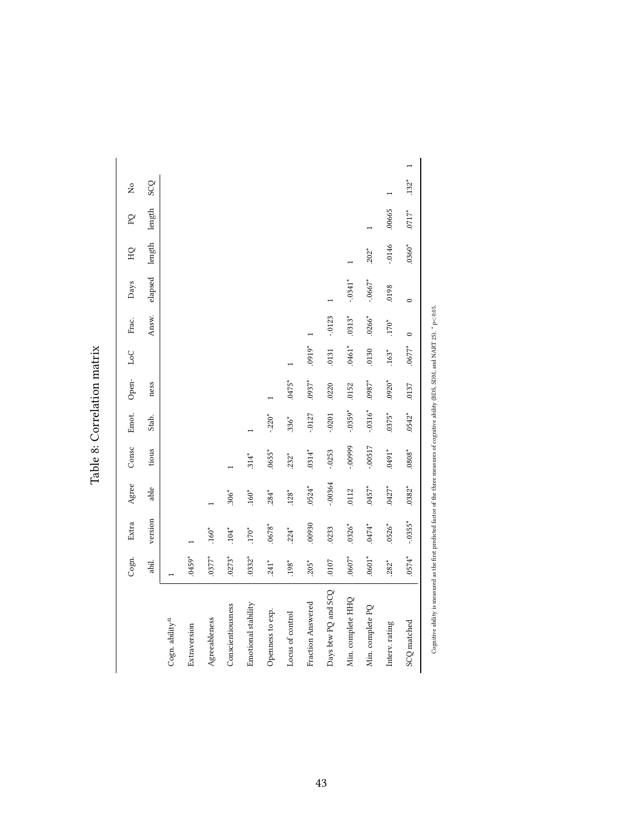|                            | Cogn.    | Extra     | Agree     | Consc      | Emot.     | Open-    | LoC      | Frac.     | Days       | <b>QH</b> | $\mathsf{P}^{\mathsf{Q}}$ | å          |
|----------------------------|----------|-----------|-----------|------------|-----------|----------|----------|-----------|------------|-----------|---------------------------|------------|
|                            | abil.    | version   | able      | tious      | Stab.     | ness     |          | Answ.     | elapsed    | length    | length                    | <b>SCQ</b> |
| Cogn. ability <sup>a</sup> |          |           |           |            |           |          |          |           |            |           |                           |            |
| Extraversion               | $.0459*$ |           |           |            |           |          |          |           |            |           |                           |            |
| $A\emph{greenheness}$      | $.0377*$ | $.160*$   |           |            |           |          |          |           |            |           |                           |            |
| Conscientiousness          | $.0273*$ | $.104*$   | $.306*$   |            |           |          |          |           |            |           |                           |            |
| Emotional stability        | $.0332*$ | $.170*$   | $.160*$   | $.314*$    |           |          |          |           |            |           |                           |            |
| Openness to exp.           | $.241*$  | $.0678*$  | $.284*$   | $.0655*$   | $-220*$   |          |          |           |            |           |                           |            |
| Locus of control           | $.198*$  | $.224*$   | $.128*$   | $.232*$    | $.336*$   | $.0475*$ |          |           |            |           |                           |            |
| Fraction Answered          | $.205*$  | 00930     | $.0524*$  | $.0314*$   | $-0.127$  | $.0937*$ | $.0919*$ |           |            |           |                           |            |
| Days btw PQ and SCQ        | .0107    | .0233     | $-0.0364$ | $-0.0253$  | $-0201$   | .0220    | .0131    | $-0123$   |            |           |                           |            |
| Min. complete HHQ          | $.0607*$ | $.0326*$  | .0112     | $-00999$   | $-.0359*$ | .0152    | $.0461*$ | $.0313*$  | $-.0341*$  |           |                           |            |
| Min. complete PQ           | $.0601*$ | $.0474*$  | $.0457*$  | $-0.00517$ | $-.0316*$ | $.0987*$ | .0130    | $.0266*$  | $-0.0667*$ | $.202*$   |                           |            |
| Interv. rating             | $.282*$  | $.0526*$  | $.0427*$  | $0491*$    | $.0375*$  | $.0920*$ | $.163*$  | $.170*$   | 8610       | $-.0146$  | .00665                    |            |
| SCQ matched                | $.0574*$ | $-.0355*$ | $.0382*$  | $0808*$    | $.0542*$  | .0137    | $.0677*$ | $\bullet$ | $\circ$    | $.0360*$  | $.0717*$                  | $.132*$    |
|                            |          |           |           |            |           |          |          |           |            |           |                           |            |

Table 8: Correlation matrix Table 8: Correlation matrix Cognitive ability is measured as the first predicted factor of the three measures of cognitive ability (BDS, SDM, and NART 25).  $^*$  p<0.05.

Cognitive ability is measured as the first predicted factor of the three measures of cognitive ability (BDS, SDM, and NART 25),  $^*$  p<0.05.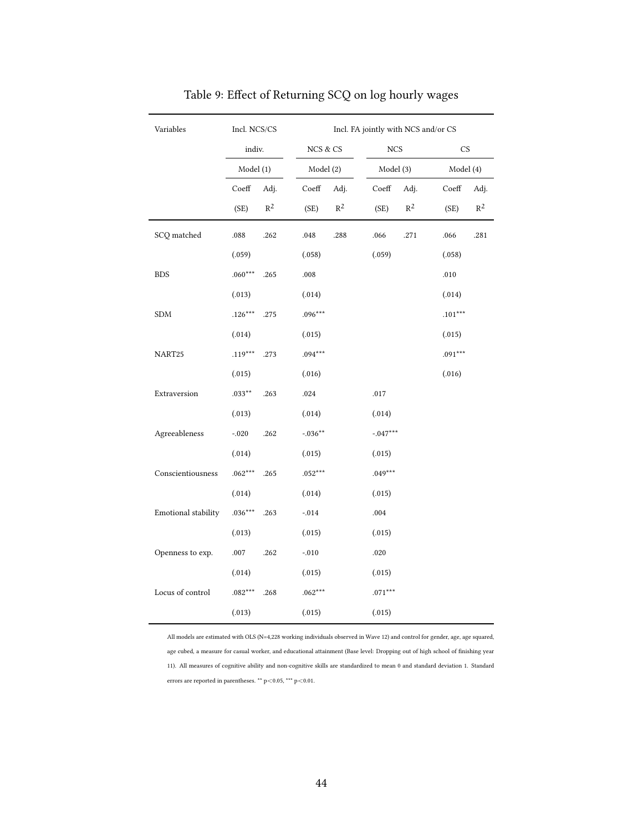| Variables           | Incl. NCS/CS |                |           |          | Incl. FA jointly with NCS and/or CS |                |           |       |
|---------------------|--------------|----------------|-----------|----------|-------------------------------------|----------------|-----------|-------|
|                     | indiv.       |                | NCS & CS  |          | NCS                                 |                | CS        |       |
|                     | Model (1)    |                | Model (2) |          | Model (3)                           |                | Model (4) |       |
|                     | Coeff        | Adj.           | Coeff     | Adj.     | $\mathrm{Coeff}$                    | Adj.           | Coeff     | Adj.  |
|                     | (SE)         | $\mathbb{R}^2$ | (SE)      | $R^2$    | (SE)                                | $\mathbb{R}^2$ | (SE)      | $R^2$ |
| SCQ matched         | .088         | .262           | .048      | $.288\,$ | .066                                | .271           | .066      | .281  |
|                     | (.059)       |                | (.058)    |          | (.059)                              |                | (.058)    |       |
| <b>BDS</b>          | $.060***$    | .265           | $.008\,$  |          |                                     |                | .010      |       |
|                     | (.013)       |                | (.014)    |          |                                     |                | (.014)    |       |
| ${\rm SDM}$         | $.126***$    | .275           | $.096***$ |          |                                     |                | $.101***$ |       |
|                     | (.014)       |                | (.015)    |          |                                     |                | (.015)    |       |
| NART25              | $.119***$    | .273           | $.094***$ |          |                                     |                | $.091***$ |       |
|                     | (.015)       |                | (.016)    |          |                                     |                | (.016)    |       |
| Extraversion        | $.033***$    | .263           | $.024\,$  |          | $.017\,$                            |                |           |       |
|                     | (.013)       |                | (.014)    |          | (.014)                              |                |           |       |
| Agreeableness       | $-.020$      | $.262\,$       | $-.036**$ |          | $-.047***$                          |                |           |       |
|                     | (.014)       |                | (.015)    |          | (.015)                              |                |           |       |
| Conscientiousness   | $.062***$    | .265           | $.052***$ |          | $.049***$                           |                |           |       |
|                     | (.014)       |                | (.014)    |          | (.015)                              |                |           |       |
| Emotional stability | $.036***$    | .263           | $-014$    |          | .004                                |                |           |       |
|                     | (.013)       |                | (.015)    |          | (.015)                              |                |           |       |
| Openness to exp.    | .007         | .262           | $-.010$   |          | .020                                |                |           |       |
|                     | (.014)       |                | (.015)    |          | (.015)                              |                |           |       |
| Locus of control    | $.082***$    | .268           | $.062***$ |          | $.071***$                           |                |           |       |
|                     | (.013)       |                | (.015)    |          | (.015)                              |                |           |       |

### Table 9: Effect of Returning SCQ on log hourly wages

All models are estimated with OLS (N=4,228 working individuals observed in Wave 12) and control for gender, age, age squared, age cubed, a measure for casual worker, and educational attainment (Base level: Dropping out of high school of finishing year 11). All measures of cognitive ability and non-cognitive skills are standardized to mean 0 and standard deviation 1. Standard errors are reported in parentheses. \*\* p<0.05, \*\*\* p<0.01.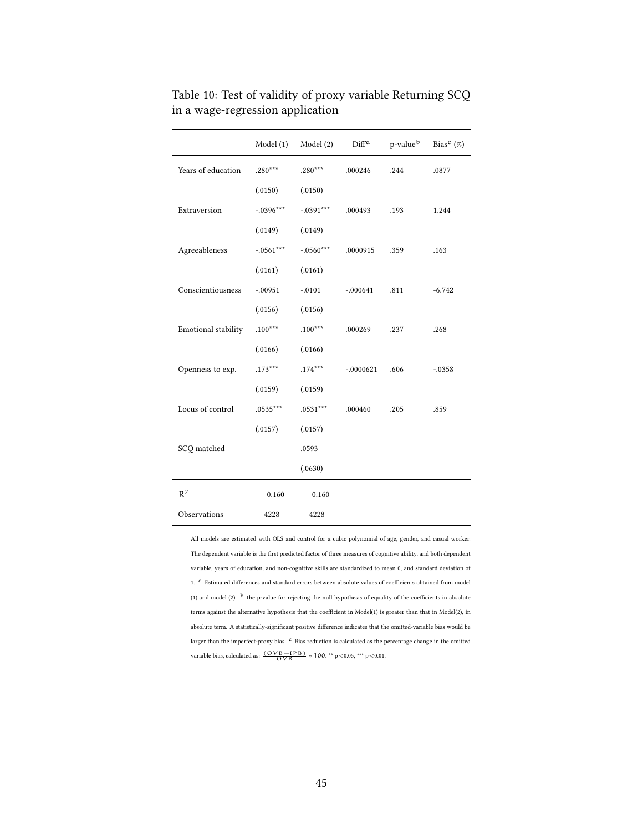|                     | Model (1)   | Model (2)   | $\mathrm{Diff}^{\alpha}$ | p-value <sup>b</sup> | Bias <sup>c</sup> $(\%)$ |
|---------------------|-------------|-------------|--------------------------|----------------------|--------------------------|
| Years of education  | $.280***$   | $.280***$   | .000246                  | .244                 | .0877                    |
|                     | (.0150)     | (.0150)     |                          |                      |                          |
| Extraversion        | $-.0396***$ | $-.0391***$ | .000493                  | .193                 | 1.244                    |
|                     | (.0149)     | (.0149)     |                          |                      |                          |
| Agreeableness       | $-.0561***$ | $-.0560***$ | .0000915                 | .359                 | .163                     |
|                     | (.0161)     | (.0161)     |                          |                      |                          |
| Conscientiousness   | $-.00951$   | $-.0101$    | $-.000641$               | .811                 | $-6.742$                 |
|                     | (.0156)     | (.0156)     |                          |                      |                          |
| Emotional stability | $.100***$   | $.100***$   | .000269                  | .237                 | .268                     |
|                     | (.0166)     | (.0166)     |                          |                      |                          |
| Openness to exp.    | $.173***$   | $.174***$   | $-.0000621$              | .606                 | $-0.0358$                |
|                     | (.0159)     | (.0159)     |                          |                      |                          |
| Locus of control    | .0535***    | $.0531***$  | .000460                  | .205                 | .859                     |
|                     | (.0157)     | (.0157)     |                          |                      |                          |
| SCQ matched         |             | .0593       |                          |                      |                          |
|                     |             | (.0630)     |                          |                      |                          |
| $R^2$               | 0.160       | 0.160       |                          |                      |                          |
| Observations        | 4228        | 4228        |                          |                      |                          |

Table 10: Test of validity of proxy variable Returning SCQ in a wage-regression application

All models are estimated with OLS and control for a cubic polynomial of age, gender, and casual worker. The dependent variable is the first predicted factor of three measures of cognitive ability, and both dependent variable, years of education, and non-cognitive skills are standardized to mean 0, and standard deviation of 1. <sup>a</sup> Estimated differences and standard errors between absolute values of coefficients obtained from model (1) and model (2).  $\rm ^{b}$  the p-value for rejecting the null hypothesis of equality of the coefficients in absolute terms against the alternative hypothesis that the coefficient in Model(1) is greater than that in Model(2), in absolute term. A statistically-significant positive difference indicates that the omitted-variable bias would be larger than the imperfect-proxy bias.  $\,^{\rm c}$  Bias reduction is calculated as the percentage change in the omitted variable bias, calculated as:  $\frac{(OVB - IPB)}{OVB}$  ∗ 100. <sup>\*\*</sup> p<0.05, <sup>\*\*\*</sup> p<0.01.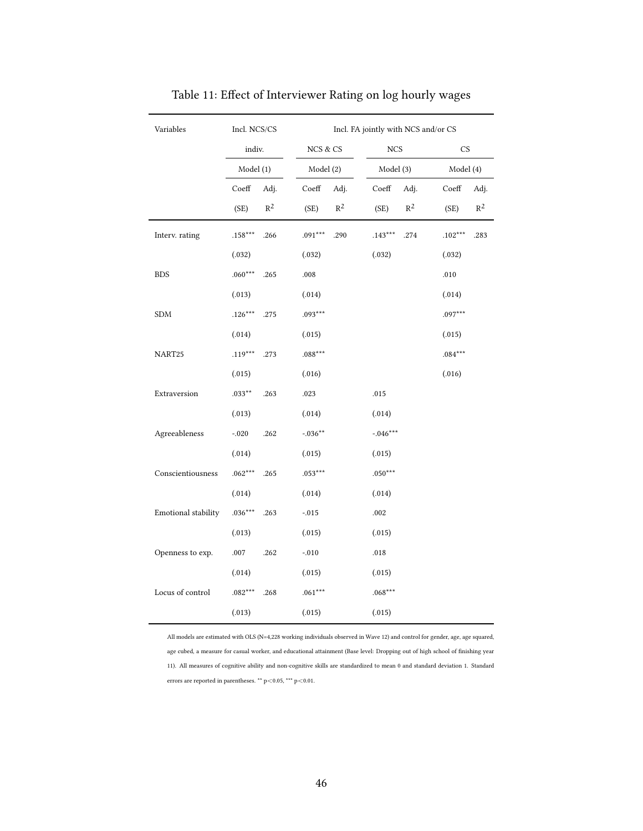| Variables           | Incl. NCS/CS |       |            |       |                   | Incl. FA jointly with NCS and/or CS |           |       |
|---------------------|--------------|-------|------------|-------|-------------------|-------------------------------------|-----------|-------|
|                     | indiv.       |       | NCS & CS   |       | $_{\mathrm{NCS}}$ |                                     | <b>CS</b> |       |
|                     | Model (1)    |       | Model (2)  |       | Model (3)         |                                     | Model (4) |       |
|                     | Coeff        | Adj.  | Coeff      | Adj.  | Coeff             | Adj.                                | Coeff     | Adj.  |
|                     | (SE)         | $R^2$ | (SE)       | $R^2$ | (SE)              | $\mathbb{R}^2$                      | (SE)      | $R^2$ |
| Interv. rating      | $.158***$    | .266  | $.091***$  | .290  | $.143***$         | .274                                | $.102***$ | .283  |
|                     | (.032)       |       | (.032)     |       | (.032)            |                                     | (.032)    |       |
| <b>BDS</b>          | $.060***$    | .265  | .008       |       |                   |                                     | .010      |       |
|                     | (.013)       |       | (.014)     |       |                   |                                     | (.014)    |       |
| SDM                 | $.126***$    | .275  | $.093***$  |       |                   |                                     | $.097***$ |       |
|                     | (.014)       |       | (.015)     |       |                   |                                     | (.015)    |       |
| NART25              | $.119***$    | .273  | $.088***$  |       |                   |                                     | $.084***$ |       |
|                     | (.015)       |       | (.016)     |       |                   |                                     | (.016)    |       |
| Extraversion        | $.033***$    | .263  | .023       |       | .015              |                                     |           |       |
|                     | (.013)       |       | (.014)     |       | (.014)            |                                     |           |       |
| Agreeableness       | $-.020$      | .262  | $-.036***$ |       | $-.046***$        |                                     |           |       |
|                     | (.014)       |       | (.015)     |       | (.015)            |                                     |           |       |
| Conscientiousness   | $.062***$    | .265  | $.053***$  |       | $.050***$         |                                     |           |       |
|                     | (.014)       |       | (.014)     |       | (.014)            |                                     |           |       |
| Emotional stability | $.036***$    | .263  | $-.015$    |       | .002              |                                     |           |       |
|                     | (.013)       |       | (.015)     |       | (.015)            |                                     |           |       |
| Openness to exp.    | .007         | .262  | $-.010$    |       | .018              |                                     |           |       |
|                     | (.014)       |       | (.015)     |       | (.015)            |                                     |           |       |
| Locus of control    | $.082***$    | .268  | $.061***$  |       | $.068***$         |                                     |           |       |
|                     | (.013)       |       | (.015)     |       | (.015)            |                                     |           |       |

Table 11: Effect of Interviewer Rating on log hourly wages

All models are estimated with OLS (N=4,228 working individuals observed in Wave 12) and control for gender, age, age squared, age cubed, a measure for casual worker, and educational attainment (Base level: Dropping out of high school of finishing year 11). All measures of cognitive ability and non-cognitive skills are standardized to mean 0 and standard deviation 1. Standard errors are reported in parentheses. \*\* p<0.05, \*\*\* p<0.01.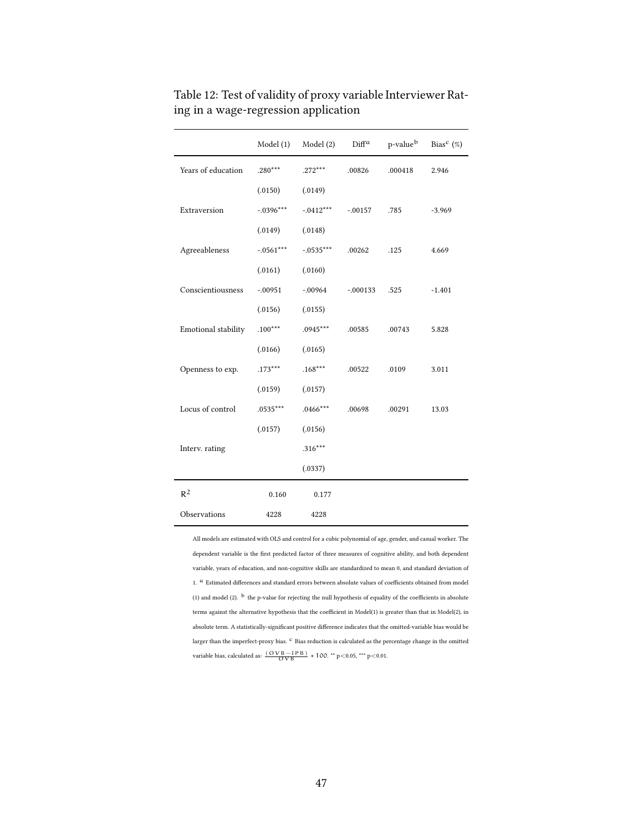|                     | Model (1)   | Model (2)   | $\text{Diff}^{\alpha}$ | p-value <sup>b</sup> | Bias <sup>c</sup> $(\%)$ |
|---------------------|-------------|-------------|------------------------|----------------------|--------------------------|
| Years of education  | $.280***$   | $.272***$   | .00826                 | .000418              | 2.946                    |
|                     | (.0150)     | (.0149)     |                        |                      |                          |
| Extraversion        | $-.0396***$ | $-.0412***$ | $-0.0157$              | .785                 | $-3.969$                 |
|                     | (.0149)     | (.0148)     |                        |                      |                          |
| Agreeableness       | $-.0561***$ | $-.0535***$ | .00262                 | .125                 | 4.669                    |
|                     | (.0161)     | (.0160)     |                        |                      |                          |
| Conscientiousness   | $-.00951$   | $-.00964$   | $-.000133$             | .525                 | $-1.401$                 |
|                     | (.0156)     | (.0155)     |                        |                      |                          |
| Emotional stability | $.100***$   | $.0945***$  | .00585                 | .00743               | 5.828                    |
|                     | (.0166)     | (.0165)     |                        |                      |                          |
| Openness to exp.    | $.173***$   | $.168***$   | .00522                 | .0109                | 3.011                    |
|                     | (.0159)     | (.0157)     |                        |                      |                          |
| Locus of control    | $.0535***$  | $.0466***$  | .00698                 | .00291               | 13.03                    |
|                     | (.0157)     | (.0156)     |                        |                      |                          |
| Interv. rating      |             | $.316***$   |                        |                      |                          |
|                     |             | (.0337)     |                        |                      |                          |
| $R^2$               | 0.160       | 0.177       |                        |                      |                          |
| Observations        | 4228        | 4228        |                        |                      |                          |

Table 12: Test of validity of proxy variable Interviewer Rating in a wage-regression application

All models are estimated with OLS and control for a cubic polynomial of age, gender, and casual worker. The dependent variable is the first predicted factor of three measures of cognitive ability, and both dependent variable, years of education, and non-cognitive skills are standardized to mean 0, and standard deviation of 1.  $a$  Estimated differences and standard errors between absolute values of coefficients obtained from model (1) and model (2).  $^{\rm b}$  the p-value for rejecting the null hypothesis of equality of the coefficients in absolute terms against the alternative hypothesis that the coefficient in Model(1) is greater than that in Model(2), in absolute term. A statistically-significant positive difference indicates that the omitted-variable bias would be larger than the imperfect-proxy bias.  $\rm ^c$  Bias reduction is calculated as the percentage change in the omitted variable bias, calculated as:  $\frac{(OVB - IPB)}{OVB} * 100.$ <sup>\*\*</sup> p<0.05, <sup>\*\*\*</sup> p<0.01.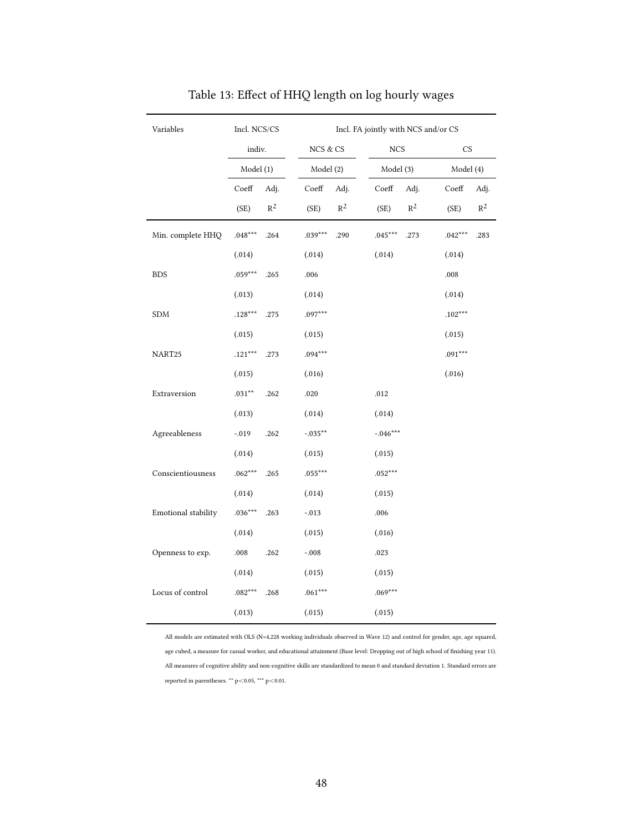| Variables            | Incl. NCS/CS      |                   | Incl. FA jointly with NCS and/or CS |                          |  |  |
|----------------------|-------------------|-------------------|-------------------------------------|--------------------------|--|--|
|                      | indiv.            | NCS & CS          | $_{\mathrm{NCS}}$                   | CS                       |  |  |
|                      | Model (1)         | Model (2)         | Model (3)                           | Model (4)                |  |  |
|                      | Coeff<br>Adj.     | Adj.<br>Coeff     | $\mathrm{Coeff}$<br>Adj.            | $\mathrm{Coeff}$<br>Adj. |  |  |
|                      | $R^2$<br>(SE)     | $R^2$<br>(SE)     | $\mathbb{R}^2$<br>(SE)              | $\mathbb{R}^2$<br>(SE)   |  |  |
| Min. complete HHQ    | $.048***$<br>.264 | $.039***$<br>.290 | $.045***$<br>.273                   | $.042***$<br>.283        |  |  |
|                      | (.014)            | (.014)            | (.014)                              | (.014)                   |  |  |
| <b>BDS</b>           | $.059***$<br>.265 | .006              |                                     | .008                     |  |  |
|                      | (.013)            | (.014)            |                                     | (.014)                   |  |  |
| $\operatorname{SDM}$ | $.128***$<br>.275 | $.097***$         |                                     | $.102***$                |  |  |
|                      | (.015)            | (.015)            |                                     | (.015)                   |  |  |
| NART25               | $.121***$<br>.273 | $.094***$         |                                     | $.091***$                |  |  |
|                      | (.015)            | (.016)            |                                     | (.016)                   |  |  |
| Extraversion         | $.031**$<br>.262  | $.020\,$          | $.012\,$                            |                          |  |  |
|                      | (.013)            | (.014)            | (.014)                              |                          |  |  |
| Agreeableness        | .262<br>$-.019$   | $-.035**$         | $-0.046***$                         |                          |  |  |
|                      | (.014)            | (.015)            | (.015)                              |                          |  |  |
| Conscientiousness    | $.062***$<br>.265 | $.055***$         | $.052***$                           |                          |  |  |
|                      | (.014)            | (.014)            | (.015)                              |                          |  |  |
| Emotional stability  | $.036***$<br>.263 | $-.013$           | .006                                |                          |  |  |
|                      | (.014)            | (.015)            | (.016)                              |                          |  |  |
| Openness to exp.     | .008<br>.262      | $-.008$           | .023                                |                          |  |  |
|                      | (.014)            | (.015)            | (.015)                              |                          |  |  |
| Locus of control     | $.082***$<br>.268 | $.061***$         | $.069***$                           |                          |  |  |
|                      | (.013)            | (.015)            | (.015)                              |                          |  |  |

### Table 13: Effect of HHQ length on log hourly wages

All models are estimated with OLS (N=4,228 working individuals observed in Wave 12) and control for gender, age, age squared, age cubed, a measure for casual worker, and educational attainment (Base level: Dropping out of high school of finishing year 11). All measures of cognitive ability and non-cognitive skills are standardized to mean 0 and standard deviation 1. Standard errors are reported in parentheses. \*\* p<0.05, \*\*\* p<0.01.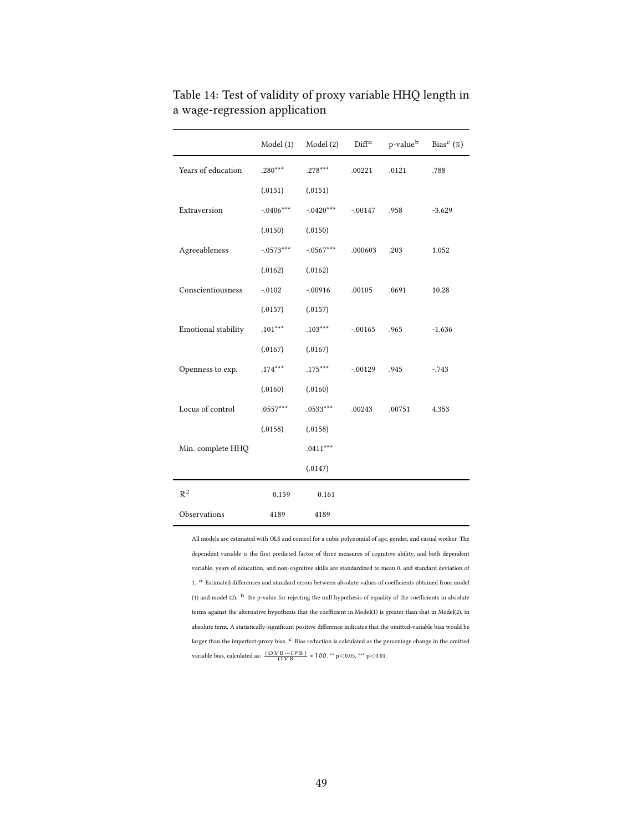|                     | Model (1)   | Model (2)   | $\mathrm{Diff}^{\alpha}$ | p-value <sup>b</sup> | Bias <sup>c</sup> $(\%)$ |
|---------------------|-------------|-------------|--------------------------|----------------------|--------------------------|
| Years of education  | $.280***$   | $.278***$   | .00221                   | .0121                | .788                     |
|                     | (.0151)     | (.0151)     |                          |                      |                          |
| Extraversion        | $-.0406***$ | $-.0420***$ | $-.00147$                | .958                 | $-3.629$                 |
|                     | (.0150)     | (.0150)     |                          |                      |                          |
| Agreeableness       | $-.0573***$ | $-.0567***$ | .000603                  | .203                 | 1.052                    |
|                     | (.0162)     | (.0162)     |                          |                      |                          |
| Conscientiousness   | $-.0102$    | $-.00916$   | .00105                   | .0691                | 10.28                    |
|                     | (.0157)     | (.0157)     |                          |                      |                          |
| Emotional stability | $.101***$   | $.103***$   | $-0.0165$                | .965                 | $-1.636$                 |
|                     | (.0167)     | (.0167)     |                          |                      |                          |
| Openness to exp.    | $.174***$   | $.175***$   | $-0.0129$                | .945                 | $-743$                   |
|                     | (.0160)     | (.0160)     |                          |                      |                          |
| Locus of control    | $.0557***$  | .0533***    | .00243                   | .00751               | 4.353                    |
|                     | (.0158)     | (.0158)     |                          |                      |                          |
| Min. complete HHQ   |             | $.0411***$  |                          |                      |                          |
|                     |             | (.0147)     |                          |                      |                          |
| $R^2$               | 0.159       | 0.161       |                          |                      |                          |
| Observations        | 4189        | 4189        |                          |                      |                          |

Table 14: Test of validity of proxy variable HHQ length in a wage-regression application

All models are estimated with OLS and control for a cubic polynomial of age, gender, and casual worker. The dependent variable is the first predicted factor of three measures of cognitive ability, and both dependent variable, years of education, and non-cognitive skills are standardized to mean 0, and standard deviation of 1. <sup>a</sup> Estimated differences and standard errors between absolute values of coefficients obtained from model (1) and model (2).  $^{\rm b}$  the p-value for rejecting the null hypothesis of equality of the coefficients in absolute terms against the alternative hypothesis that the coefficient in Model(1) is greater than that in Model(2), in absolute term. A statistically-significant positive difference indicates that the omitted-variable bias would be larger than the imperfect-proxy bias.  $\rm ^c$  Bias reduction is calculated as the percentage change in the omitted variable bias, calculated as:  $\frac{(OVB - IPB)}{OVB} * 100.$  \*\* p<0.05, \*\*\* p<0.01.